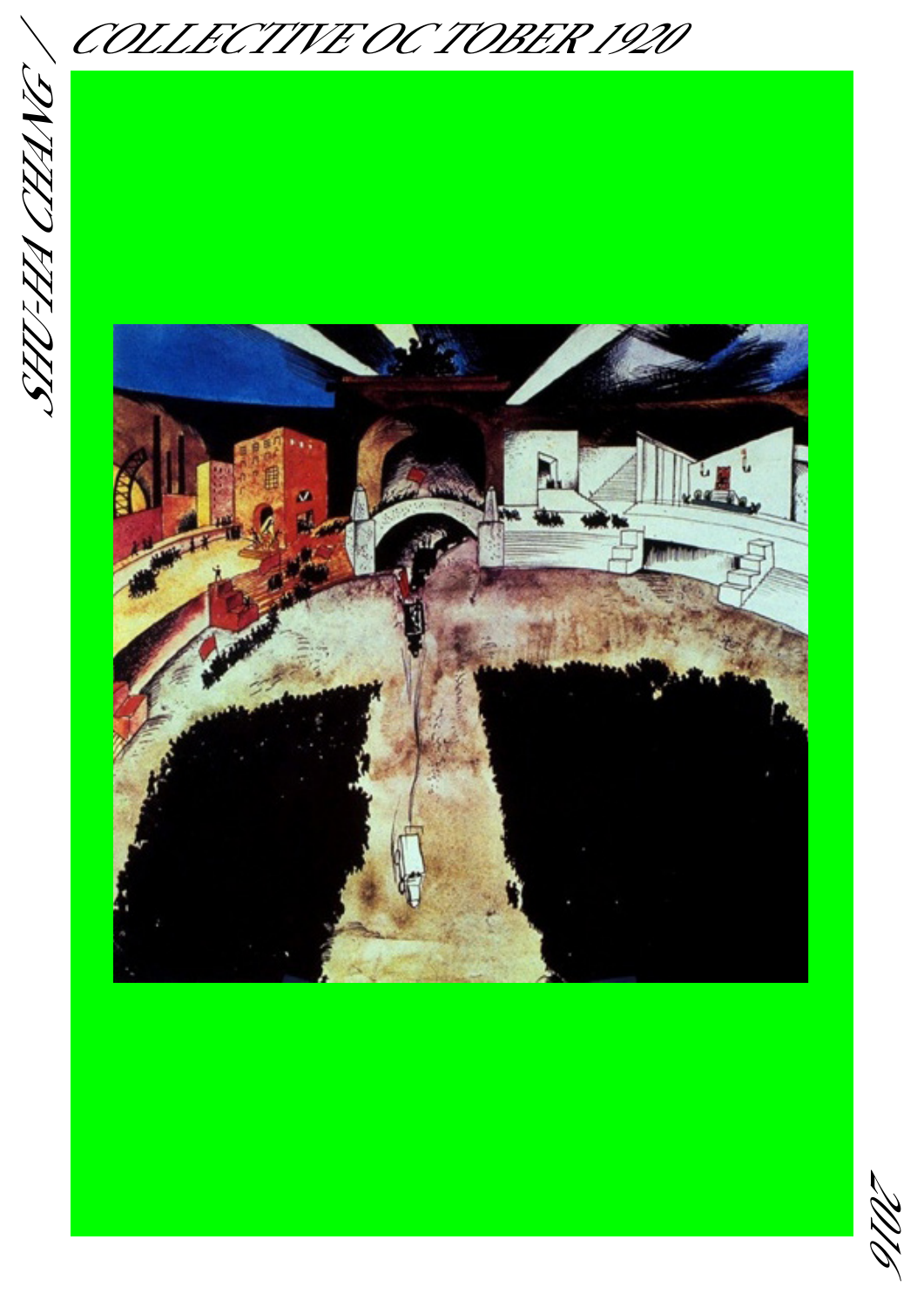SHU-HA CHANG / SHT-HACHANG

COLLECTIVE OC TOBER 1920



2016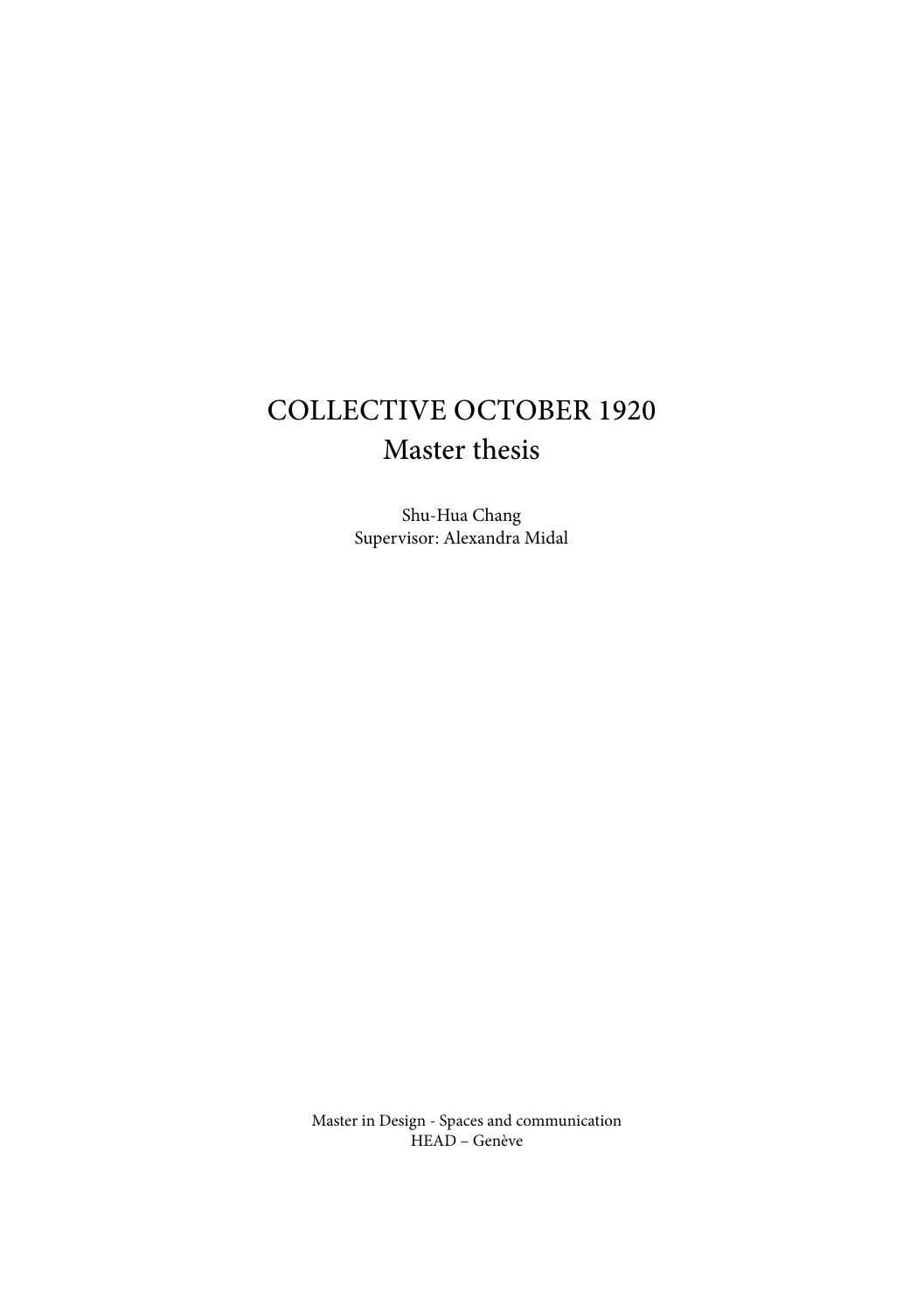## Collective October 1920 Master thesis

Shu-Hua Chang Supervisor: Alexandra Midal

Master in Design - Spaces and communication HEAD – Genève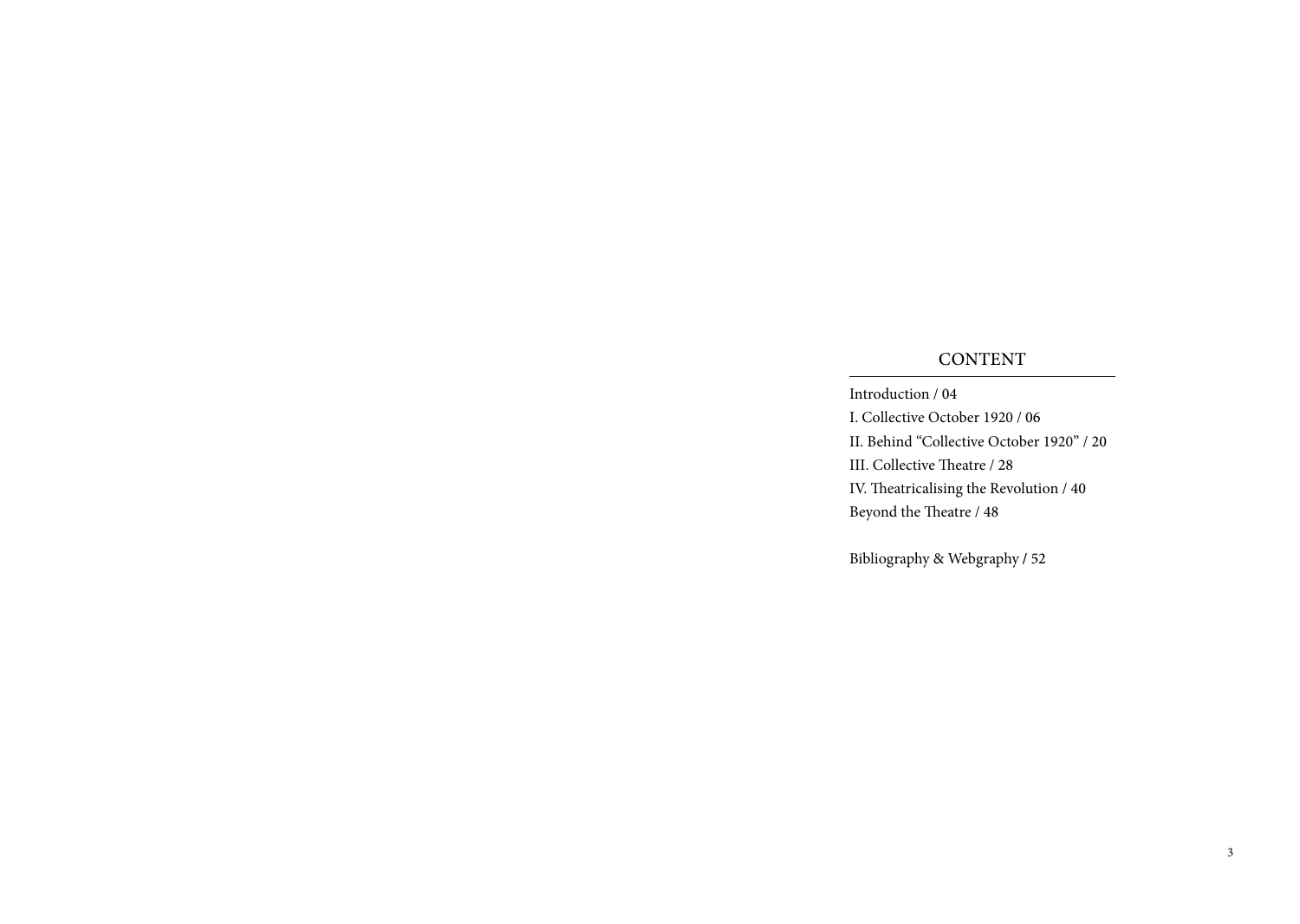### CONTENT

Introduction / 04 I. Collective October 1920 / 06 II. Behind "Collective October 1920" / 20 III. Collective Theatre / 28 IV. Theatricalising the Revolution / 40 Beyond the Theatre / 48

Bibliography & Webgraphy **/** 52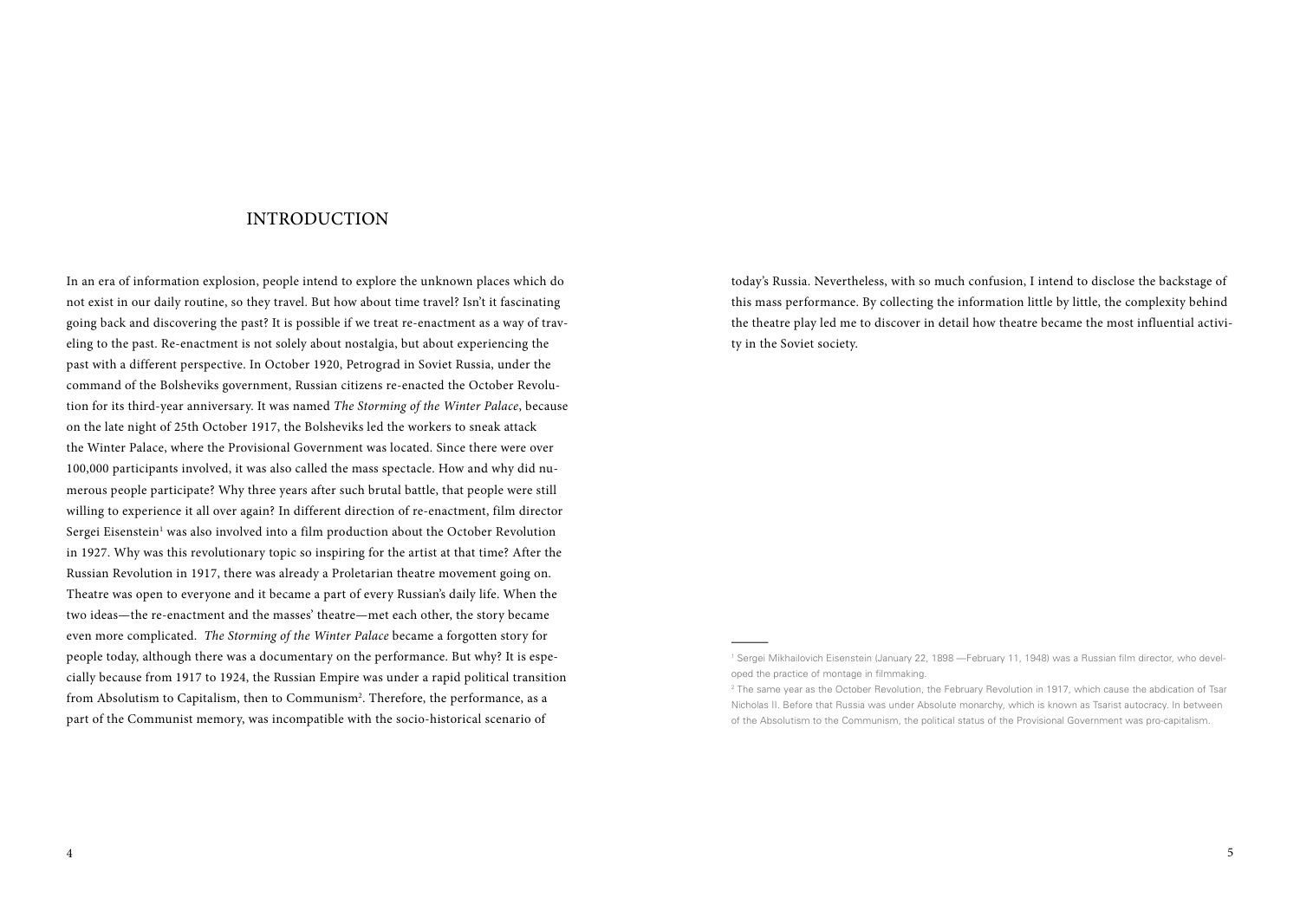#### **INTRODUCTION**

In an era of information explosion, people intend to explore the unknown places which do not exist in our daily routine, so they travel. But how about time travel? Isn't it fascinating going back and discovering the past? It is possible if we treat re-enactment as a way of traveling to the past. Re-enactment is not solely about nostalgia, but about experiencing the past with a different perspective. In October 1920, Petrograd in Soviet Russia, under the command of the Bolsheviks government, Russian citizens re-enacted the October Revolution for its third-year anniversary. It was named *The Storming of the Winter Palace*, because on the late night of 25th October 1917, the Bolsheviks led the workers to sneak attack the Winter Palace, where the Provisional Government was located. Since there were over 100,000 participants involved, it was also called the mass spectacle. How and why did numerous people participate? Why three years after such brutal battle, that people were still willing to experience it all over again? In different direction of re-enactment, film director Sergei Eisenstein<sup>1</sup> was also involved into a film production about the October Revolution in 1927. Why was this revolutionary topic so inspiring for the artist at that time? After the Russian Revolution in 1917, there was already a Proletarian theatre movement going on. Theatre was open to everyone and it became a part of every Russian's daily life. When the two ideas—the re-enactment and the masses' theatre—met each other, the story became even more complicated. *The Storming of the Winter Palace* became a forgotten story for people today, although there was a documentary on the performance. But why? It is especially because from 1917 to 1924, the Russian Empire was under a rapid political transition from Absolutism to Capitalism, then to Communism<sup>2</sup>. Therefore, the performance, as a part of the Communist memory, was incompatible with the socio-historical scenario of

today's Russia. Nevertheless, with so much confusion, I intend to disclose the backstage of this mass performance. By collecting the information little by little, the complexity behind the theatre play led me to discover in detail how theatre became the most influential activity in the Soviet society.

<sup>1</sup> Sergei Mikhailovich Eisenstein (January 22, 1898 —February 11, 1948) was a Russian film director, who developed the practice of montage in filmmaking.

<sup>&</sup>lt;sup>2</sup> The same year as the October Revolution, the February Revolution in 1917, which cause the abdication of Tsar Nicholas II. Before that Russia was under Absolute monarchy, which is known as Tsarist autocracy. In between of the Absolutism to the Communism, the political status of the Provisional Government was pro-capitalism.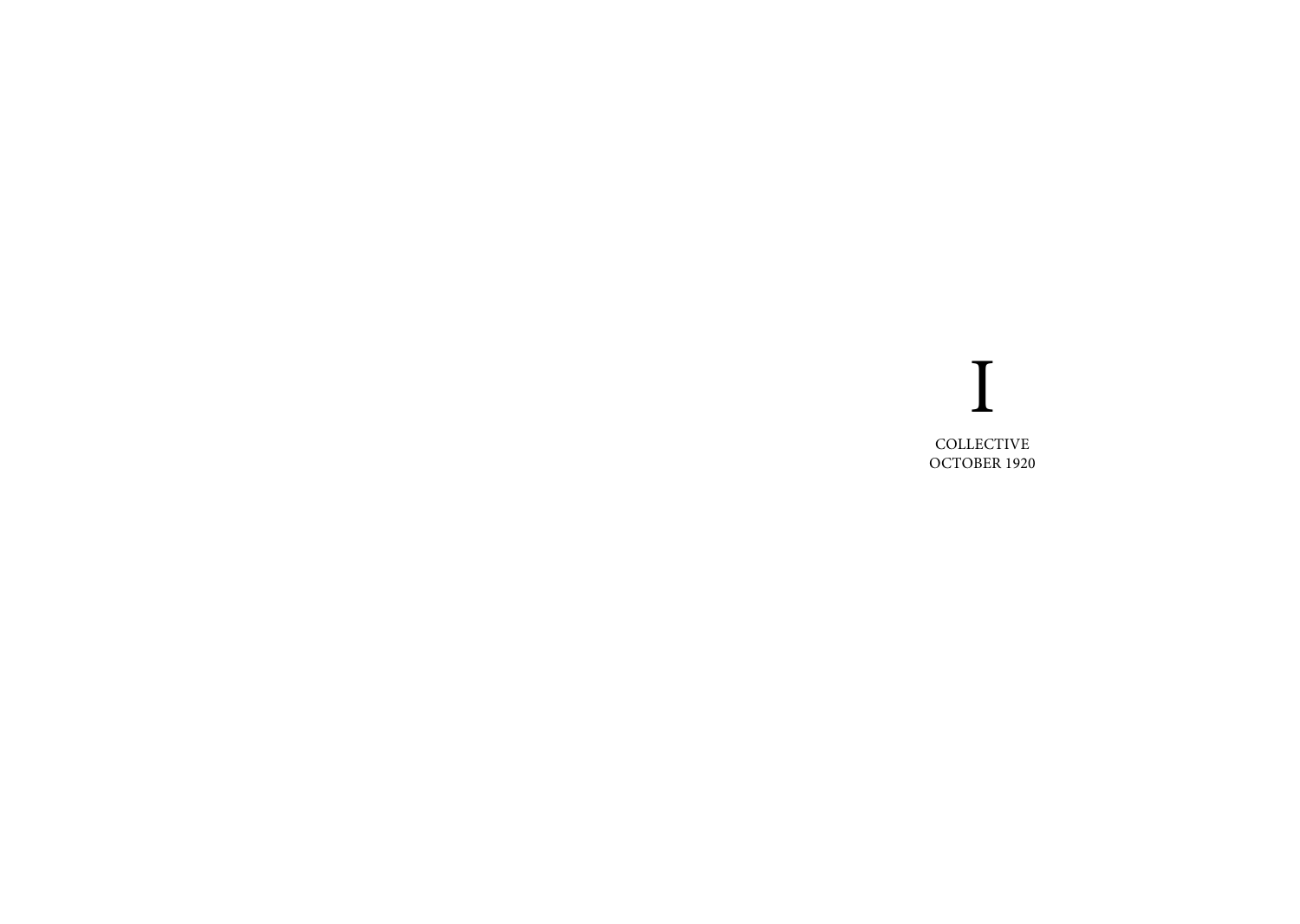## I **COLLECTIVE** OCTOBER 1920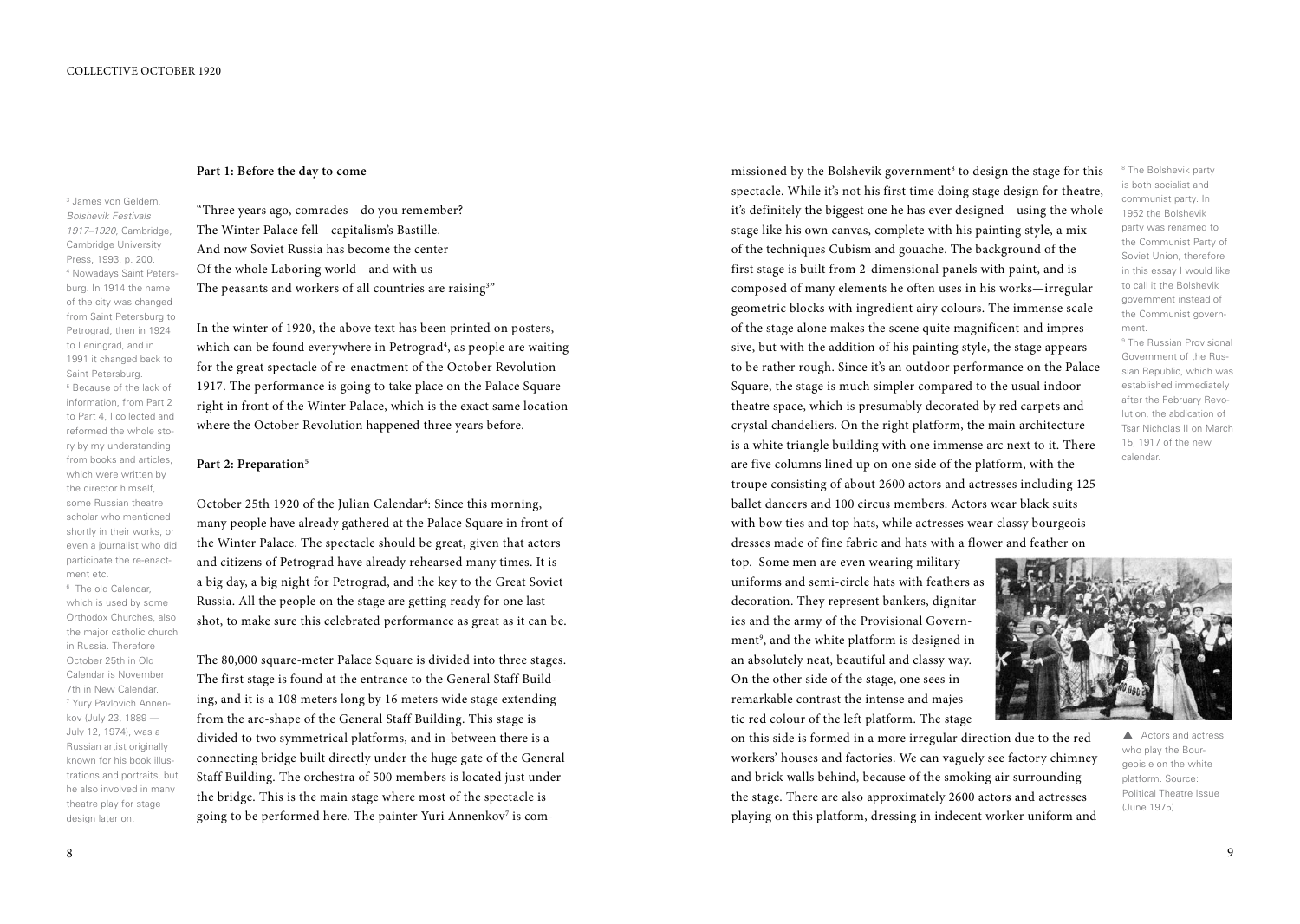#### **Part 1: Before the day to come**

3 James von Geldern, *Bolshevik Festivals 1917–1920*, Cambridge, Cambridge University Press, 1993, p. 200. 4 Nowadays Saint Petersburg. In 1914 the name of the city was changed from Saint Petersburg to Petrograd, then in 1924 to Leningrad, and in 1991 it changed back to Saint Petersburg. 5 Because of the lack of information, from Part 2 to Part 4, I collected and reformed the whole story by my understanding from books and articles, which were written by the director himself, some Russian theatre scholar who mentioned shortly in their works, or even a journalist who did participate the re-enactment etc.

6 The old Calendar, which is used by some Orthodox Churches, also the major catholic church in Russia. Therefore October 25th in Old Calendar is November 7th in New Calendar. 7 Yury Pavlovich Annenkov (July 23, 1889 — July 12, 1974), was a Russian artist originally known for his book illustrations and portraits, but he also involved in many theatre play for stage design later on.

"Three years ago, comrades—do you remember? The Winter Palace fell—capitalism's Bastille. And now Soviet Russia has become the center Of the whole Laboring world—and with us The peasants and workers of all countries are raising  $^{\textrm{\tiny{3}}\textrm{\tiny{m}}}$ 

In the winter of 1920, the above text has been printed on posters, which can be found everywhere in Petrograd<sup>4</sup>, as people are waiting for the great spectacle of re-enactment of the October Revolution 1917. The performance is going to take place on the Palace Square right in front of the Winter Palace, which is the exact same location where the October Revolution happened three years before.

#### Part 2: Preparation<sup>5</sup>

October 25th 1920 of the Julian Calendar<sup>6</sup>: Since this morning, many people have already gathered at the Palace Square in front of the Winter Palace. The spectacle should be great, given that actors and citizens of Petrograd have already rehearsed many times. It is a big day, a big night for Petrograd, and the key to the Great Soviet Russia. All the people on the stage are getting ready for one last shot, to make sure this celebrated performance as great as it can be.

The 80,000 square-meter Palace Square is divided into three stages. The first stage is found at the entrance to the General Staff Building, and it is a 108 meters long by 16 meters wide stage extending from the arc-shape of the General Staff Building. This stage is divided to two symmetrical platforms, and in-between there is a connecting bridge built directly under the huge gate of the General Staff Building. The orchestra of 500 members is located just under the bridge. This is the main stage where most of the spectacle is going to be performed here. The painter Yuri Annenkov<sup>7</sup> is com-

missioned by the Bolshevik government<sup>8</sup> to design the stage for this spectacle. While it's not his first time doing stage design for theatre, it's definitely the biggest one he has ever designed—using the whole stage like his own canvas, complete with his painting style, a mix of the techniques Cubism and gouache. The background of the first stage is built from 2-dimensional panels with paint, and is composed of many elements he often uses in his works—irregular geometric blocks with ingredient airy colours. The immense scale of the stage alone makes the scene quite magnificent and impressive, but with the addition of his painting style, the stage appears to be rather rough. Since it's an outdoor performance on the Palace Square, the stage is much simpler compared to the usual indoor theatre space, which is presumably decorated by red carpets and crystal chandeliers. On the right platform, the main architecture is a white triangle building with one immense arc next to it. There are five columns lined up on one side of the platform, with the troupe consisting of about 2600 actors and actresses including 125 ballet dancers and 100 circus members. Actors wear black suits with bow ties and top hats, while actresses wear classy bourgeois dresses made of fine fabric and hats with a flower and feather on

top. Some men are even wearing military uniforms and semi-circle hats with feathers as decoration. They represent bankers, dignitaries and the army of the Provisional Government<sup>9</sup>, and the white platform is designed in an absolutely neat, beautiful and classy way. On the other side of the stage, one sees in remarkable contrast the intense and majestic red colour of the left platform. The stage

on this side is formed in a more irregular direction due to the red workers' houses and factories. We can vaguely see factory chimney and brick walls behind, because of the smoking air surrounding the stage. There are also approximately 2600 actors and actresses playing on this platform, dressing in indecent worker uniform and

<sup>8</sup> The Bolshevik party is both socialist and communist party. In 1952 the Bolshevik party was renamed to the Communist Party of Soviet Union, therefore in this essay I would like to call it the Bolshevik government instead of the Communist government.

9 The Russian Provisional Government of the Russian Republic, which was established immediately after the February Revolution, the abdication of Tsar Nicholas II on March 15, 1917 of the new calendar.



A Actors and actress who play the Bourgeoisie on the white platform. Source: Political Theatre Issue (June 1975)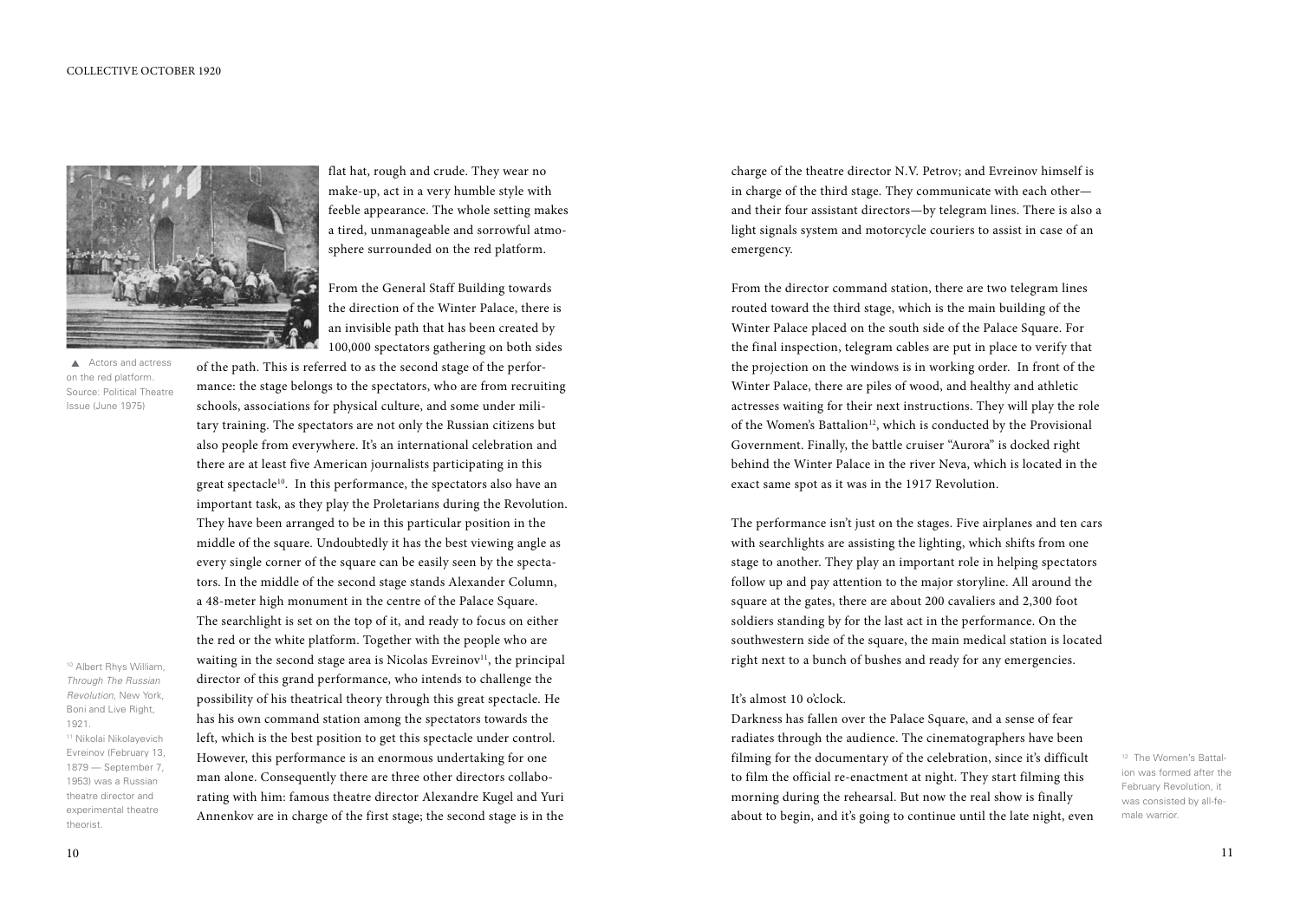

A Actors and actress on the red platform. Source: Political Theatre Issue (June 1975)

<sup>10</sup> Albert Rhys William, *Through The Russian Revolution*, New York, Boni and Live Right, 1921.

<sup>11</sup> Nikolai Nikolayevich Evreinov (February 13, 1879 — September 7, 1953) was a Russian theatre director and experimental theatre theorist.

flat hat, rough and crude. They wear no make-up, act in a very humble style with feeble appearance. The whole setting makes a tired, unmanageable and sorrowful atmosphere surrounded on the red platform.

From the General Staff Building towards the direction of the Winter Palace, there is an invisible path that has been created by 100,000 spectators gathering on both sides

of the path. This is referred to as the second stage of the performance: the stage belongs to the spectators, who are from recruiting schools, associations for physical culture, and some under military training. The spectators are not only the Russian citizens but also people from everywhere. It's an international celebration and there are at least five American journalists participating in this great spectacle<sup>10</sup>. In this performance, the spectators also have an important task, as they play the Proletarians during the Revolution. They have been arranged to be in this particular position in the middle of the square. Undoubtedly it has the best viewing angle as every single corner of the square can be easily seen by the spectators. In the middle of the second stage stands Alexander Column, a 48-meter high monument in the centre of the Palace Square. The searchlight is set on the top of it, and ready to focus on either the red or the white platform. Together with the people who are waiting in the second stage area is Nicolas Evreinov<sup>11</sup>, the principal director of this grand performance, who intends to challenge the possibility of his theatrical theory through this great spectacle. He has his own command station among the spectators towards the left, which is the best position to get this spectacle under control. However, this performance is an enormous undertaking for one man alone. Consequently there are three other directors collaborating with him: famous theatre director Alexandre Kugel and Yuri Annenkov are in charge of the first stage; the second stage is in the

charge of the theatre director N.V. Petrov; and Evreinov himself is in charge of the third stage. They communicate with each other and their four assistant directors—by telegram lines. There is also a light signals system and motorcycle couriers to assist in case of an emergency.

From the director command station, there are two telegram lines routed toward the third stage, which is the main building of the Winter Palace placed on the south side of the Palace Square. For the final inspection, telegram cables are put in place to verify that the projection on the windows is in working order. In front of the Winter Palace, there are piles of wood, and healthy and athletic actresses waiting for their next instructions. They will play the role of the Women's Battalion<sup>12</sup>, which is conducted by the Provisional Government. Finally, the battle cruiser "Aurora" is docked right behind the Winter Palace in the river Neva, which is located in the exact same spot as it was in the 1917 Revolution.

The performance isn't just on the stages. Five airplanes and ten cars with searchlights are assisting the lighting, which shifts from one stage to another. They play an important role in helping spectators follow up and pay attention to the major storyline. All around the square at the gates, there are about 200 cavaliers and 2,300 foot soldiers standing by for the last act in the performance. On the southwestern side of the square, the main medical station is located right next to a bunch of bushes and ready for any emergencies.

#### It's almost 10 o'clock.

Darkness has fallen over the Palace Square, and a sense of fear radiates through the audience. The cinematographers have been filming for the documentary of the celebration, since it's difficult to film the official re-enactment at night. They start filming this morning during the rehearsal. But now the real show is finally about to begin, and it's going to continue until the late night, even

<sup>12</sup> The Women's Battalion was formed after the February Revolution, it was consisted by all-female warrior.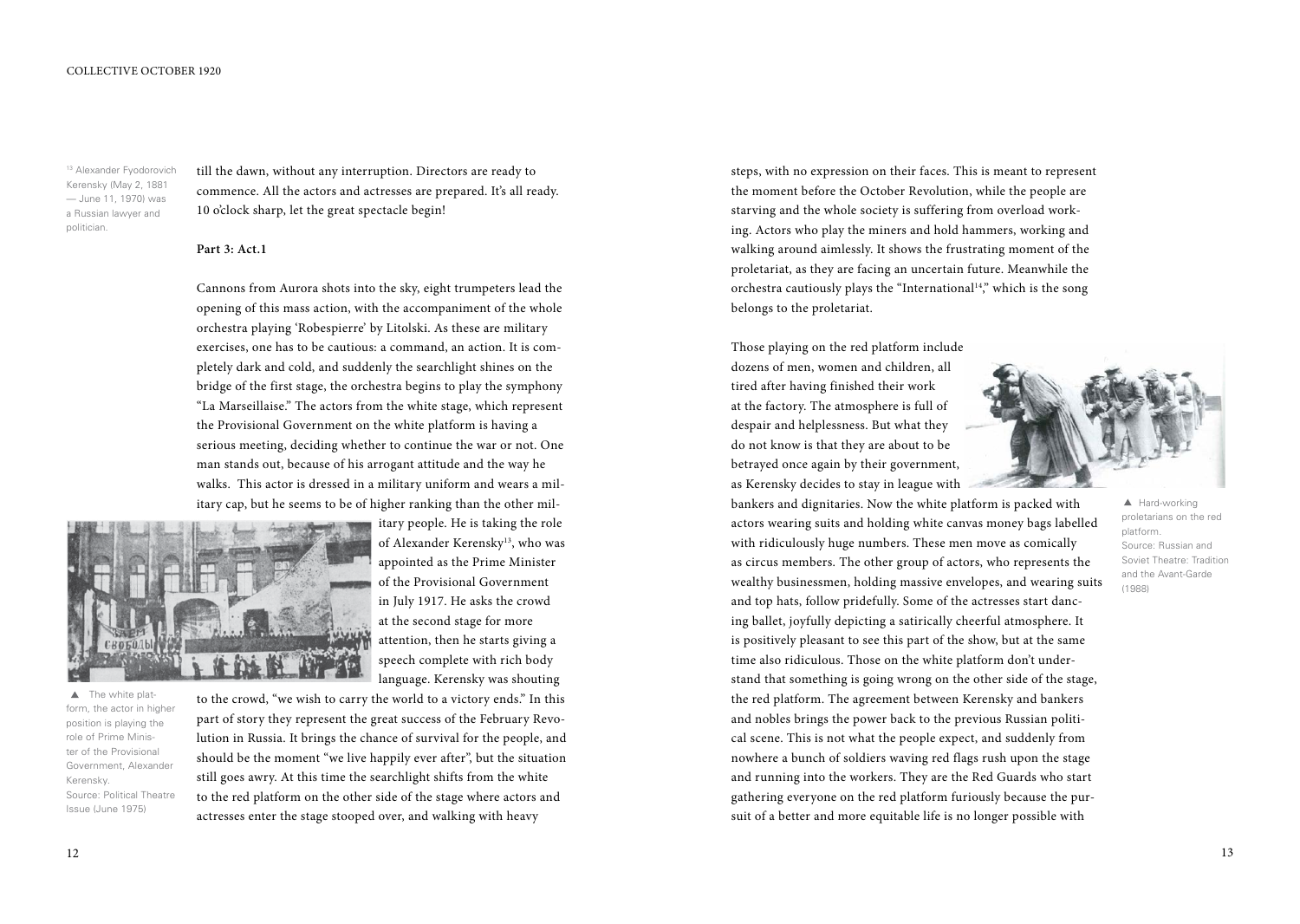<sup>13</sup> Alexander Fyodorovich Kerensky (May 2, 1881 — June 11, 1970) was a Russian lawyer and politician.

till the dawn, without any interruption. Directors are ready to commence. All the actors and actresses are prepared. It's all ready. 10 o'clock sharp, let the great spectacle begin!

#### **Part 3: Act.1**

Cannons from Aurora shots into the sky, eight trumpeters lead the opening of this mass action, with the accompaniment of the whole orchestra playing 'Robespierre' by Litolski. As these are military exercises, one has to be cautious: a command, an action. It is completely dark and cold, and suddenly the searchlight shines on the bridge of the first stage, the orchestra begins to play the symphony "La Marseillaise." The actors from the white stage, which represent the Provisional Government on the white platform is having a serious meeting, deciding whether to continue the war or not. One man stands out, because of his arrogant attitude and the way he walks. This actor is dressed in a military uniform and wears a military cap, but he seems to be of higher ranking than the other mil-



itary people. He is taking the role of Alexander Kerensky<sup>13</sup>, who was appointed as the Prime Minister of the Provisional Government in July 1917. He asks the crowd at the second stage for more attention, then he starts giving a speech complete with rich body language. Kerensky was shouting

 $\triangle$  The white platform, the actor in higher position is playing the role of Prime Minister of the Provisional Government, Alexander Kerensky. Source: Political Theatre Issue (June 1975)

to the crowd, "we wish to carry the world to a victory ends." In this part of story they represent the great success of the February Revolution in Russia. It brings the chance of survival for the people, and should be the moment "we live happily ever after", but the situation still goes awry. At this time the searchlight shifts from the white to the red platform on the other side of the stage where actors and actresses enter the stage stooped over, and walking with heavy

steps, with no expression on their faces. This is meant to represent the moment before the October Revolution, while the people are starving and the whole society is suffering from overload working. Actors who play the miners and hold hammers, working and walking around aimlessly. It shows the frustrating moment of the proletariat, as they are facing an uncertain future. Meanwhile the orchestra cautiously plays the "International<sup>14</sup>," which is the song belongs to the proletariat.

Those playing on the red platform include dozens of men, women and children, all tired after having finished their work at the factory. The atmosphere is full of despair and helplessness. But what they do not know is that they are about to be betrayed once again by their government, as Kerensky decides to stay in league with



bankers and dignitaries. Now the white platform is packed with actors wearing suits and holding white canvas money bags labelled with ridiculously huge numbers. These men move as comically as circus members. The other group of actors, who represents the wealthy businessmen, holding massive envelopes, and wearing suits and top hats, follow pridefully. Some of the actresses start dancing ballet, joyfully depicting a satirically cheerful atmosphere. It is positively pleasant to see this part of the show, but at the same time also ridiculous. Those on the white platform don't understand that something is going wrong on the other side of the stage, the red platform. The agreement between Kerensky and bankers and nobles brings the power back to the previous Russian political scene. This is not what the people expect, and suddenly from nowhere a bunch of soldiers waving red flags rush upon the stage and running into the workers. They are the Red Guards who start gathering everyone on the red platform furiously because the pursuit of a better and more equitable life is no longer possible with

▲ Hard-working proletarians on the red platform. Source: Russian and Soviet Theatre: Tradition and the Avant-Garde (1988)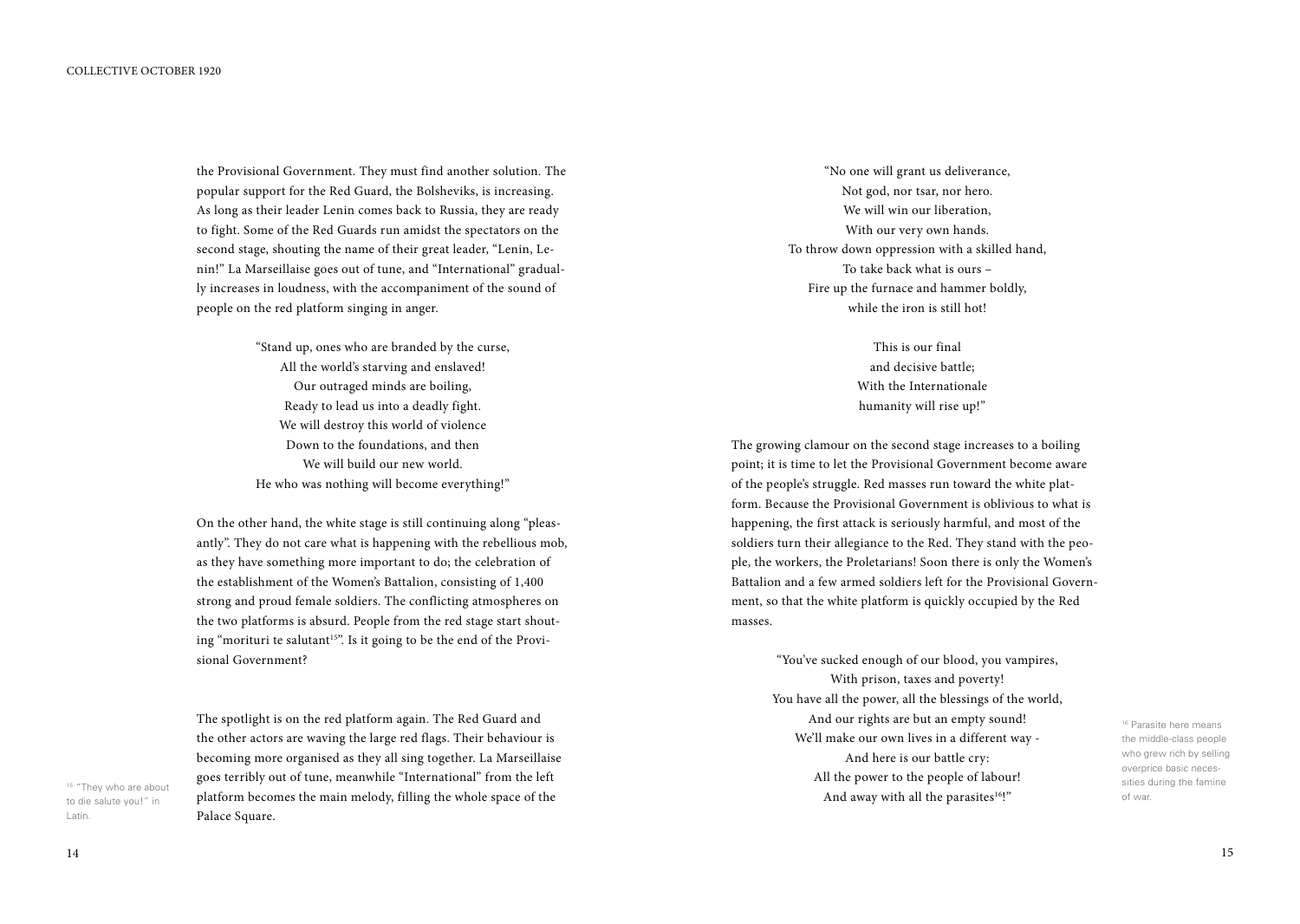the Provisional Government. They must find another solution. The popular support for the Red Guard, the Bolsheviks, is increasing. As long as their leader Lenin comes back to Russia, they are ready to fight. Some of the Red Guards run amidst the spectators on the second stage, shouting the name of their great leader, "Lenin, Lenin!" La Marseillaise goes out of tune, and "International" gradually increases in loudness, with the accompaniment of the sound of people on the red platform singing in anger.

> "Stand up, ones who are branded by the curse, All the world's starving and enslaved! Our outraged minds are boiling, Ready to lead us into a deadly fight. We will destroy this world of violence Down to the foundations, and then We will build our new world. He who was nothing will become everything!"

On the other hand, the white stage is still continuing along "pleasantly". They do not care what is happening with the rebellious mob, as they have something more important to do; the celebration of the establishment of the Women's Battalion, consisting of 1,400 strong and proud female soldiers. The conflicting atmospheres on the two platforms is absurd. People from the red stage start shouting "morituri te salutant<sup>15"</sup>. Is it going to be the end of the Provisional Government?

The spotlight is on the red platform again. The Red Guard and the other actors are waving the large red flags. Their behaviour is becoming more organised as they all sing together. La Marseillaise goes terribly out of tune, meanwhile "International" from the left platform becomes the main melody, filling the whole space of the Palace Square.

"No one will grant us deliverance, Not god, nor tsar, nor hero. We will win our liberation, With our very own hands. To throw down oppression with a skilled hand, To take back what is ours – Fire up the furnace and hammer boldly, while the iron is still hot!

> This is our final and decisive battle; With the Internationale humanity will rise up!"

The growing clamour on the second stage increases to a boiling point; it is time to let the Provisional Government become aware of the people's struggle. Red masses run toward the white platform. Because the Provisional Government is oblivious to what is happening, the first attack is seriously harmful, and most of the soldiers turn their allegiance to the Red. They stand with the people, the workers, the Proletarians! Soon there is only the Women's Battalion and a few armed soldiers left for the Provisional Government, so that the white platform is quickly occupied by the Red masses.

> "You've sucked enough of our blood, you vampires, With prison, taxes and poverty! You have all the power, all the blessings of the world, And our rights are but an empty sound! We'll make our own lives in a different way - And here is our battle cry: All the power to the people of labour! And away with all the parasites<sup>16!"</sup>

16 Parasite here means the middle-class people who grew rich by selling overprice basic necessities during the famine of war.

<sup>15</sup> "They who are about to die salute you!" in Latin.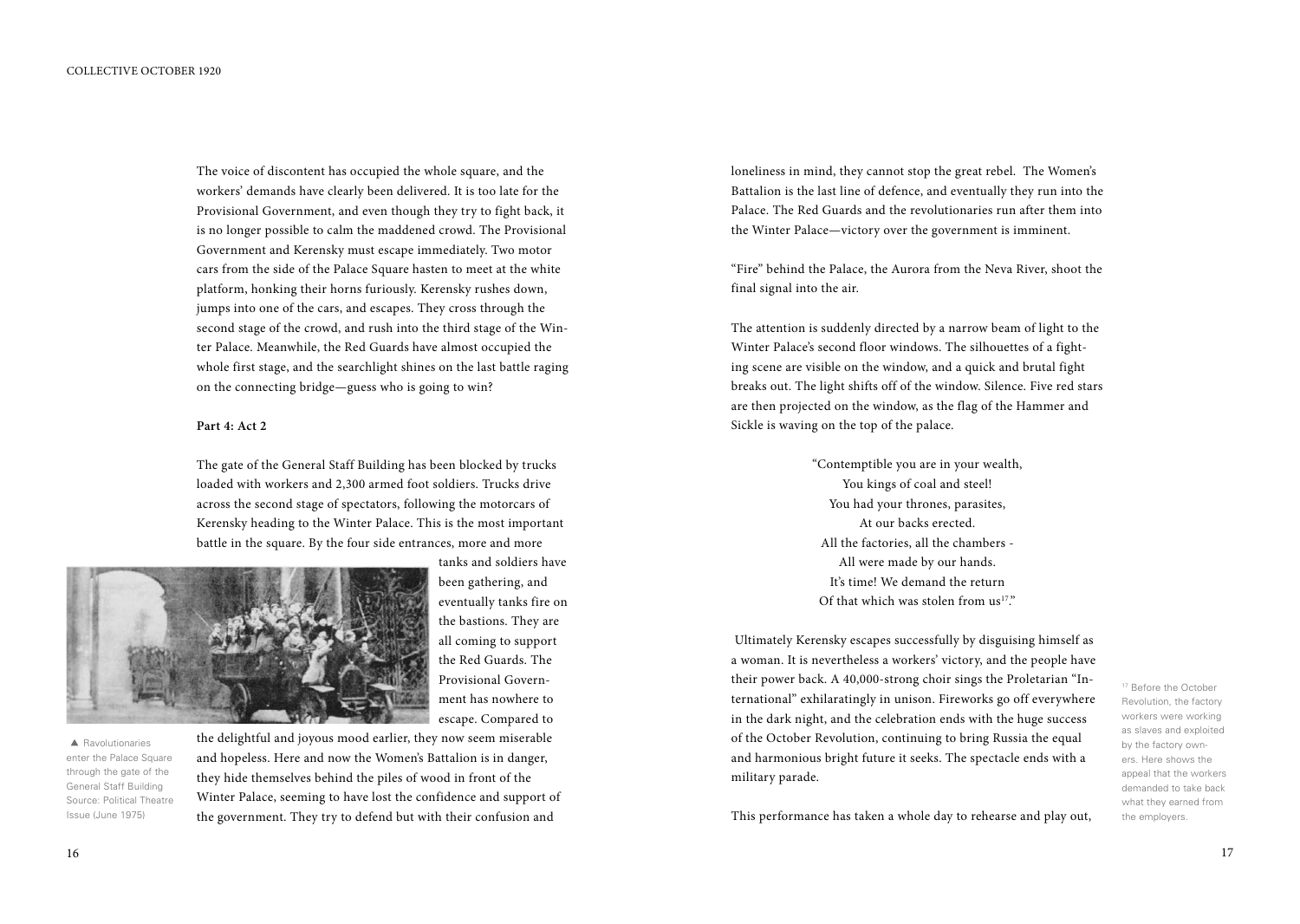The voice of discontent has occupied the whole square, and the workers' demands have clearly been delivered. It is too late for the Provisional Government, and even though they try to fight back, it is no longer possible to calm the maddened crowd. The Provisional Government and Kerensky must escape immediately. Two motor cars from the side of the Palace Square hasten to meet at the white platform, honking their horns furiously. Kerensky rushes down, jumps into one of the cars, and escapes. They cross through the second stage of the crowd, and rush into the third stage of the Winter Palace. Meanwhile, the Red Guards have almost occupied the whole first stage, and the searchlight shines on the last battle raging on the connecting bridge—guess who is going to win?

#### **Part 4: Act 2**

The gate of the General Staff Building has been blocked by trucks loaded with workers and 2,300 armed foot soldiers. Trucks drive across the second stage of spectators, following the motorcars of Kerensky heading to the Winter Palace. This is the most important battle in the square. By the four side entrances, more and more



tanks and soldiers have been gathering, and eventually tanks fire on the bastions. They are all coming to support the Red Guards. The Provisional Government has nowhere to escape. Compared to

 $\blacktriangle$  Ravolutionaries enter the Palace Square through the gate of the General Staff Building Source: Political Theatre Issue (June 1975)

the delightful and joyous mood earlier, they now seem miserable and hopeless. Here and now the Women's Battalion is in danger, they hide themselves behind the piles of wood in front of the Winter Palace, seeming to have lost the confidence and support of the government. They try to defend but with their confusion and

loneliness in mind, they cannot stop the great rebel. The Women's Battalion is the last line of defence, and eventually they run into the Palace. The Red Guards and the revolutionaries run after them into the Winter Palace—victory over the government is imminent.

"Fire" behind the Palace, the Aurora from the Neva River, shoot the final signal into the air.

The attention is suddenly directed by a narrow beam of light to the Winter Palace's second floor windows. The silhouettes of a fighting scene are visible on the window, and a quick and brutal fight breaks out. The light shifts off of the window. Silence. Five red stars are then projected on the window, as the flag of the Hammer and Sickle is waving on the top of the palace.

> "Contemptible you are in your wealth, You kings of coal and steel! You had your thrones, parasites, At our backs erected. All the factories, all the chambers - All were made by our hands. It's time! We demand the return Of that which was stolen from  $us<sup>17</sup>$ ."

 Ultimately Kerensky escapes successfully by disguising himself as a woman. It is nevertheless a workers' victory, and the people have their power back. A 40,000-strong choir sings the Proletarian "International" exhilaratingly in unison. Fireworks go off everywhere in the dark night, and the celebration ends with the huge success of the October Revolution, continuing to bring Russia the equal and harmonious bright future it seeks. The spectacle ends with a military parade.

<sup>17</sup> Before the October Revolution, the factory workers were working as slaves and exploited by the factory owners. Here shows the appeal that the workers demanded to take back what they earned from the employers.

This performance has taken a whole day to rehearse and play out,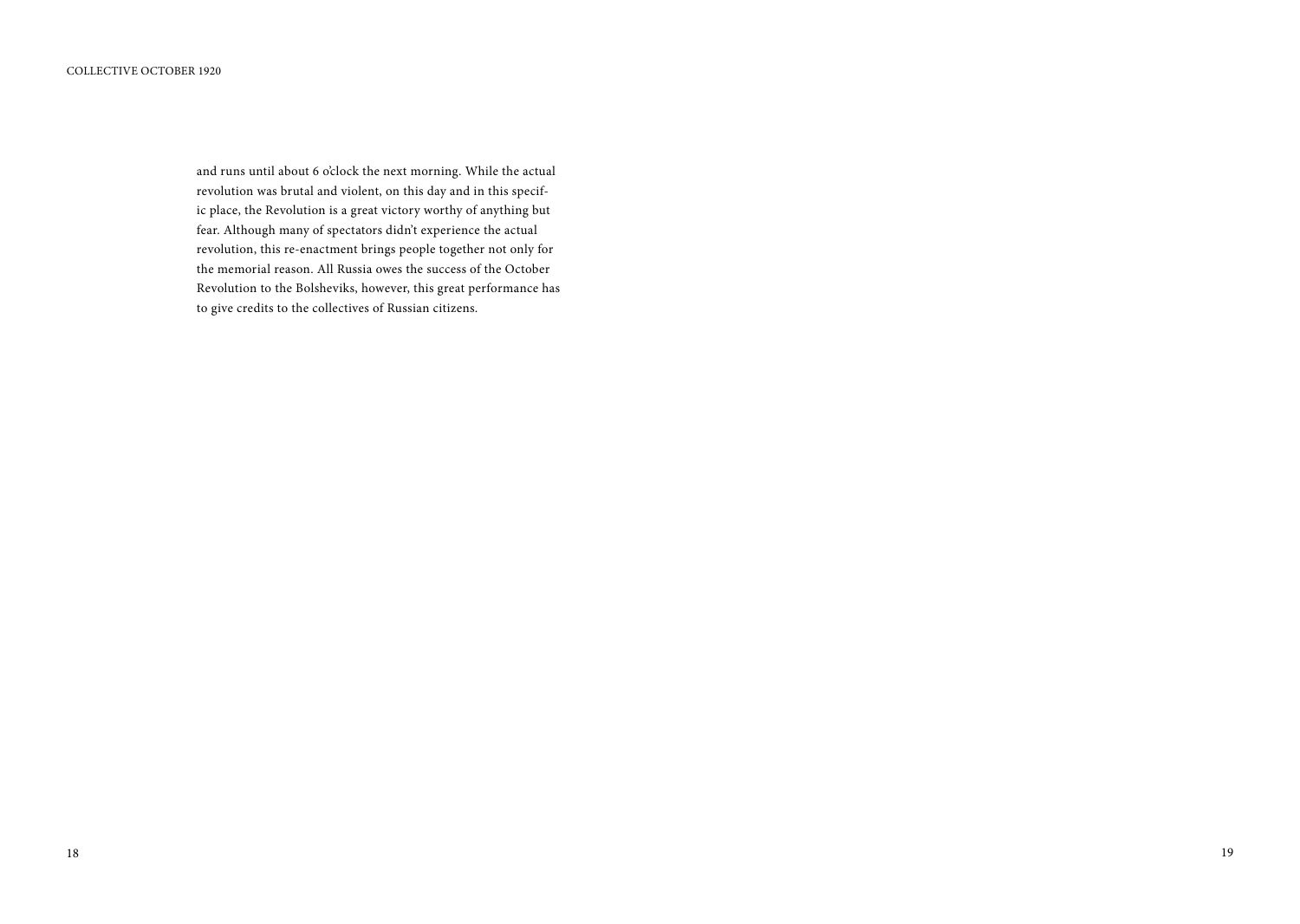and runs until about 6 o'clock the next morning. While the actual revolution was brutal and violent, on this day and in this specific place, the Revolution is a great victory worthy of anything but fear. Although many of spectators didn't experience the actual revolution, this re-enactment brings people together not only for the memorial reason. All Russia owes the success of the October Revolution to the Bolsheviks, however, this great performance has to give credits to the collectives of Russian citizens.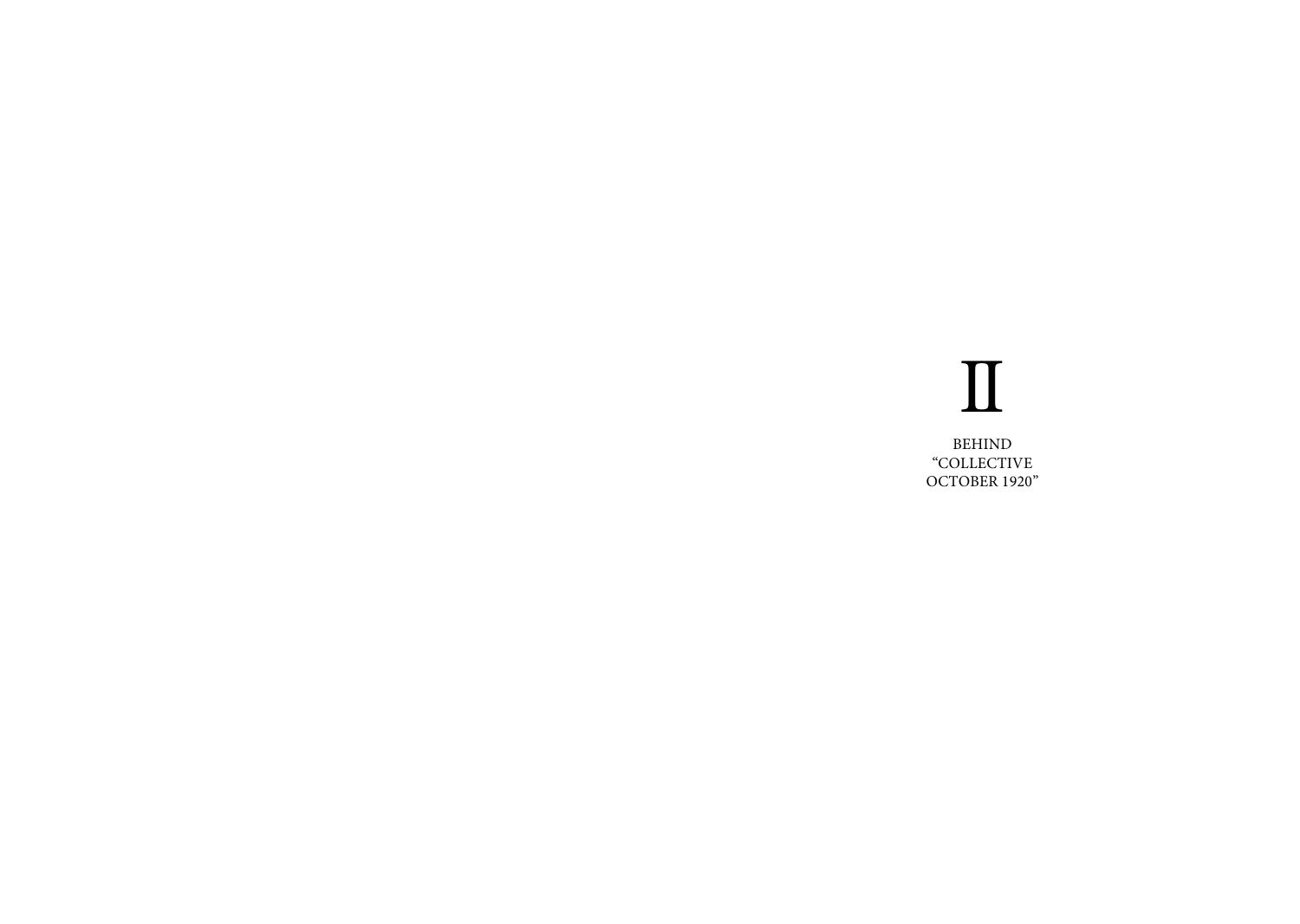# II

BEHIND "Collective OCTOBER 1920"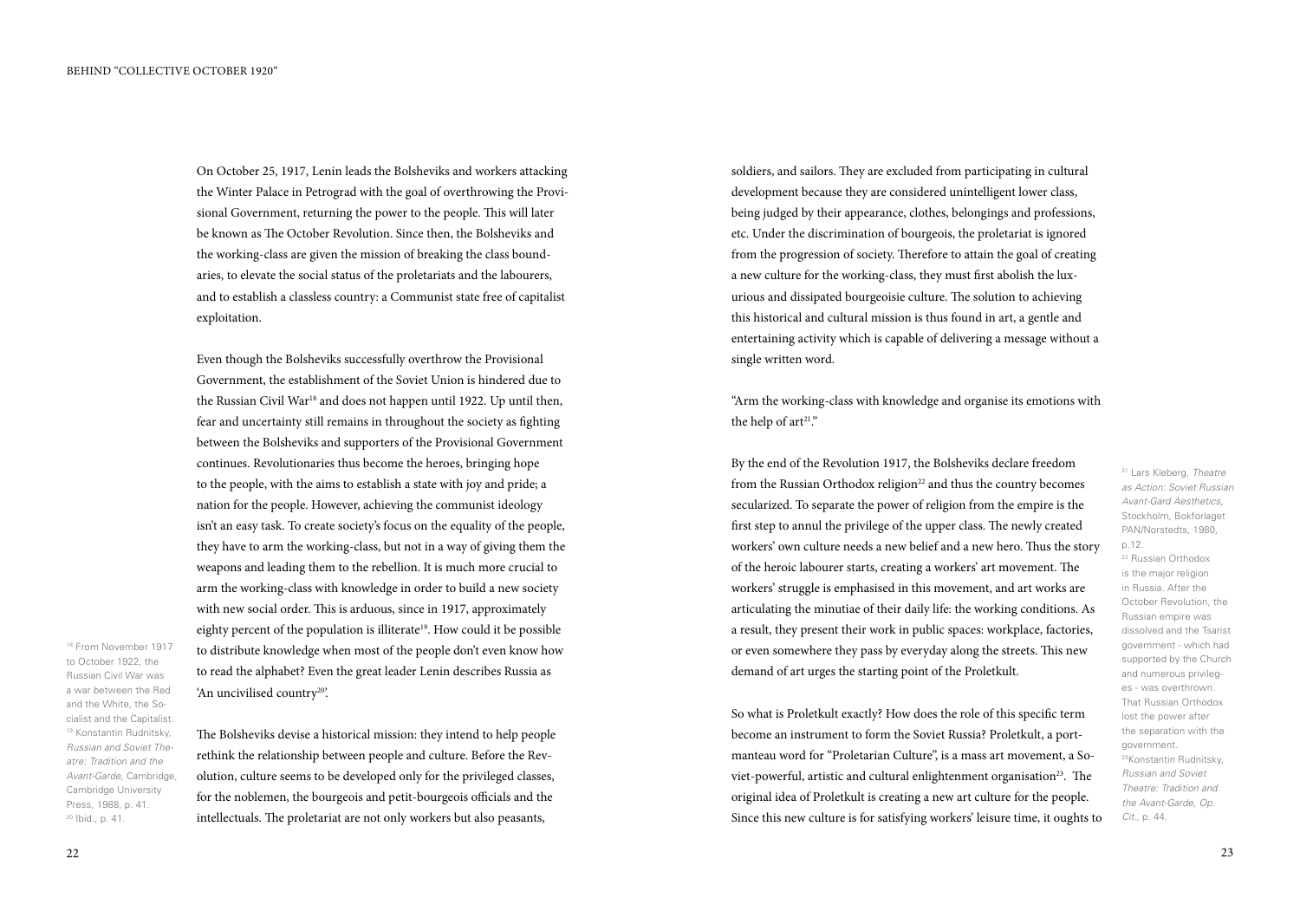On October 25, 1917, Lenin leads the Bolsheviks and workers attacking the Winter Palace in Petrograd with the goal of overthrowing the Provisional Government, returning the power to the people. This will later be known as The October Revolution. Since then, the Bolsheviks and the working-class are given the mission of breaking the class boundaries, to elevate the social status of the proletariats and the labourers, and to establish a classless country: a Communist state free of capitalist exploitation.

Even though the Bolsheviks successfully overthrow the Provisional Government, the establishment of the Soviet Union is hindered due to the Russian Civil War<sup>18</sup> and does not happen until 1922. Up until then, fear and uncertainty still remains in throughout the society as fighting between the Bolsheviks and supporters of the Provisional Government continues. Revolutionaries thus become the heroes, bringing hope to the people, with the aims to establish a state with joy and pride; a nation for the people. However, achieving the communist ideology isn't an easy task. To create society's focus on the equality of the people, they have to arm the working-class, but not in a way of giving them the weapons and leading them to the rebellion. It is much more crucial to arm the working-class with knowledge in order to build a new society with new social order. This is arduous, since in 1917, approximately eighty percent of the population is illiterate<sup>19</sup>. How could it be possible to distribute knowledge when most of the people don't even know how to read the alphabet? Even the great leader Lenin describes Russia as 'An uncivilised country20'.

18 From November 1917 to October 1922, the Russian Civil War was a war between the Red and the White, the Socialist and the Capitalist. 19 Konstantin Rudnitsky, *Russian and Soviet Theatre: Tradition and the Avant-Garde*, Cambridge, Cambridge University Press, 1988, p. 41. 20 Ibid., p. 41.

The Bolsheviks devise a historical mission: they intend to help people rethink the relationship between people and culture. Before the Revolution, culture seems to be developed only for the privileged classes, for the noblemen, the bourgeois and petit-bourgeois officials and the intellectuals. The proletariat are not only workers but also peasants,

soldiers, and sailors. They are excluded from participating in cultural development because they are considered unintelligent lower class, being judged by their appearance, clothes, belongings and professions, etc. Under the discrimination of bourgeois, the proletariat is ignored from the progression of society. Therefore to attain the goal of creating a new culture for the working-class, they must first abolish the luxurious and dissipated bourgeoisie culture. The solution to achieving this historical and cultural mission is thus found in art, a gentle and entertaining activity which is capable of delivering a message without a single written word.

"Arm the working-class with knowledge and organise its emotions with the help of  $art^{21}$ ."

By the end of the Revolution 1917, the Bolsheviks declare freedom from the Russian Orthodox religion<sup>22</sup> and thus the country becomes secularized. To separate the power of religion from the empire is the first step to annul the privilege of the upper class. The newly created workers' own culture needs a new belief and a new hero. Thus the story of the heroic labourer starts, creating a workers' art movement. The workers' struggle is emphasised in this movement, and art works are articulating the minutiae of their daily life: the working conditions. As a result, they present their work in public spaces: workplace, factories, or even somewhere they pass by everyday along the streets. This new demand of art urges the starting point of the Proletkult.

So what is Proletkult exactly? How does the role of this specific term become an instrument to form the Soviet Russia? Proletkult, a portmanteau word for "Proletarian Culture", is a mass art movement, a Soviet-powerful, artistic and cultural enlightenment organisation<sup>23</sup>. The original idea of Proletkult is creating a new art culture for the people. Since this new culture is for satisfying workers' leisure time, it oughts to 21 Lars Kleberg, *Theatre as Action: Soviet Russian Avant-Gard Aesthetics*, Stockholm, Bokforlaget PAN/Norstedts, 1980,

p.12.

22 Russian Orthodox is the major religion in Russia. After the October Revolution, the Russian empire was dissolved and the Tsarist government - which had supported by the Church and numerous privileges - was overthrown. That Russian Orthodox lost the power after the separation with the government. 23Konstantin Rudnitsky, *Russian and Soviet Theatre: Tradition and the Avant-Garde, Op. Cit.*, p. 44.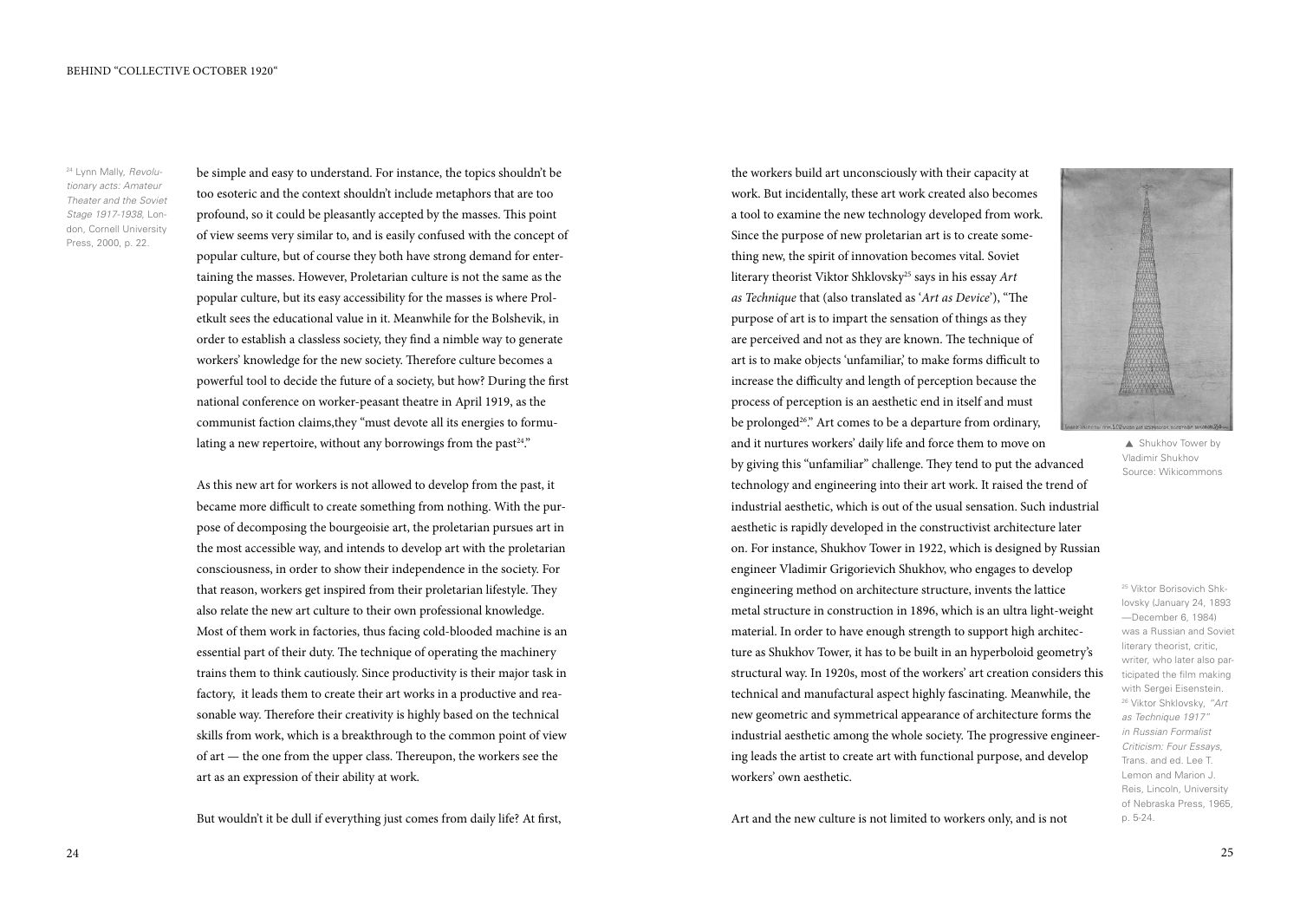24 Lynn Mally, *Revolutionary acts: Amateur Theater and the Soviet Stage 1917-1938*, London, Cornell University Press, 2000, p. 22.

be simple and easy to understand. For instance, the topics shouldn't be too esoteric and the context shouldn't include metaphors that are too profound, so it could be pleasantly accepted by the masses. This point of view seems very similar to, and is easily confused with the concept of popular culture, but of course they both have strong demand for entertaining the masses. However, Proletarian culture is not the same as the popular culture, but its easy accessibility for the masses is where Proletkult sees the educational value in it. Meanwhile for the Bolshevik, in order to establish a classless society, they find a nimble way to generate workers' knowledge for the new society. Therefore culture becomes a powerful tool to decide the future of a society, but how? During the first national conference on worker-peasant theatre in April 1919, as the communist faction claims,they "must devote all its energies to formulating a new repertoire, without any borrowings from the past<sup>24</sup>."

As this new art for workers is not allowed to develop from the past, it became more difficult to create something from nothing. With the purpose of decomposing the bourgeoisie art, the proletarian pursues art in the most accessible way, and intends to develop art with the proletarian consciousness, in order to show their independence in the society. For that reason, workers get inspired from their proletarian lifestyle. They also relate the new art culture to their own professional knowledge. Most of them work in factories, thus facing cold-blooded machine is an essential part of their duty. The technique of operating the machinery trains them to think cautiously. Since productivity is their major task in factory, it leads them to create their art works in a productive and reasonable way. Therefore their creativity is highly based on the technical skills from work, which is a breakthrough to the common point of view of art — the one from the upper class. Thereupon, the workers see the art as an expression of their ability at work.

But wouldn't it be dull if everything just comes from daily life? At first,

work. But incidentally, these art work created also becomes a tool to examine the new technology developed from work. Since the purpose of new proletarian art is to create something new, the spirit of innovation becomes vital. Soviet literary theorist Viktor Shklovsky25 says in his essay *Art as Technique* that (also translated as '*Art as Device*'), "The purpose of art is to impart the sensation of things as they are perceived and not as they are known. The technique of art is to make objects 'unfamiliar,' to make forms difficult to increase the difficulty and length of perception because the process of perception is an aesthetic end in itself and must be prolonged<sup>26</sup>." Art comes to be a departure from ordinary, and it nurtures workers' daily life and force them to move on by giving this "unfamiliar" challenge. They tend to put the advanced technology and engineering into their art work. It raised the trend of industrial aesthetic, which is out of the usual sensation. Such industrial aesthetic is rapidly developed in the constructivist architecture later on. For instance, Shukhov Tower in 1922, which is designed by Russian engineer Vladimir Grigorievich Shukhov, who engages to develop engineering method on architecture structure, invents the lattice metal structure in construction in 1896, which is an ultra light-weight material. In order to have enough strength to support high architecture as Shukhov Tower, it has to be built in an hyperboloid geometry's structural way. In 1920s, most of the workers' art creation considers this technical and manufactural aspect highly fascinating. Meanwhile, the new geometric and symmetrical appearance of architecture forms the industrial aesthetic among the whole society. The progressive engineering leads the artist to create art with functional purpose, and develop workers' own aesthetic.

the workers build art unconsciously with their capacity at



▲ Shukhov Tower by Vladimir Shukhov Source: Wikicommons

25 Viktor Borisovich Shklovsky (January 24, 1893 —December 6, 1984) was a Russian and Soviet literary theorist, critic, writer, who later also participated the film making with Sergei Eisenstein. 26 Viktor Shklovsky, *"Art as Technique 1917" in Russian Formalist Criticism: Four Essays*, Trans. and ed. Lee T. Lemon and Marion J. Reis, Lincoln, University of Nebraska Press, 1965, p. 5-24.

Art and the new culture is not limited to workers only, and is not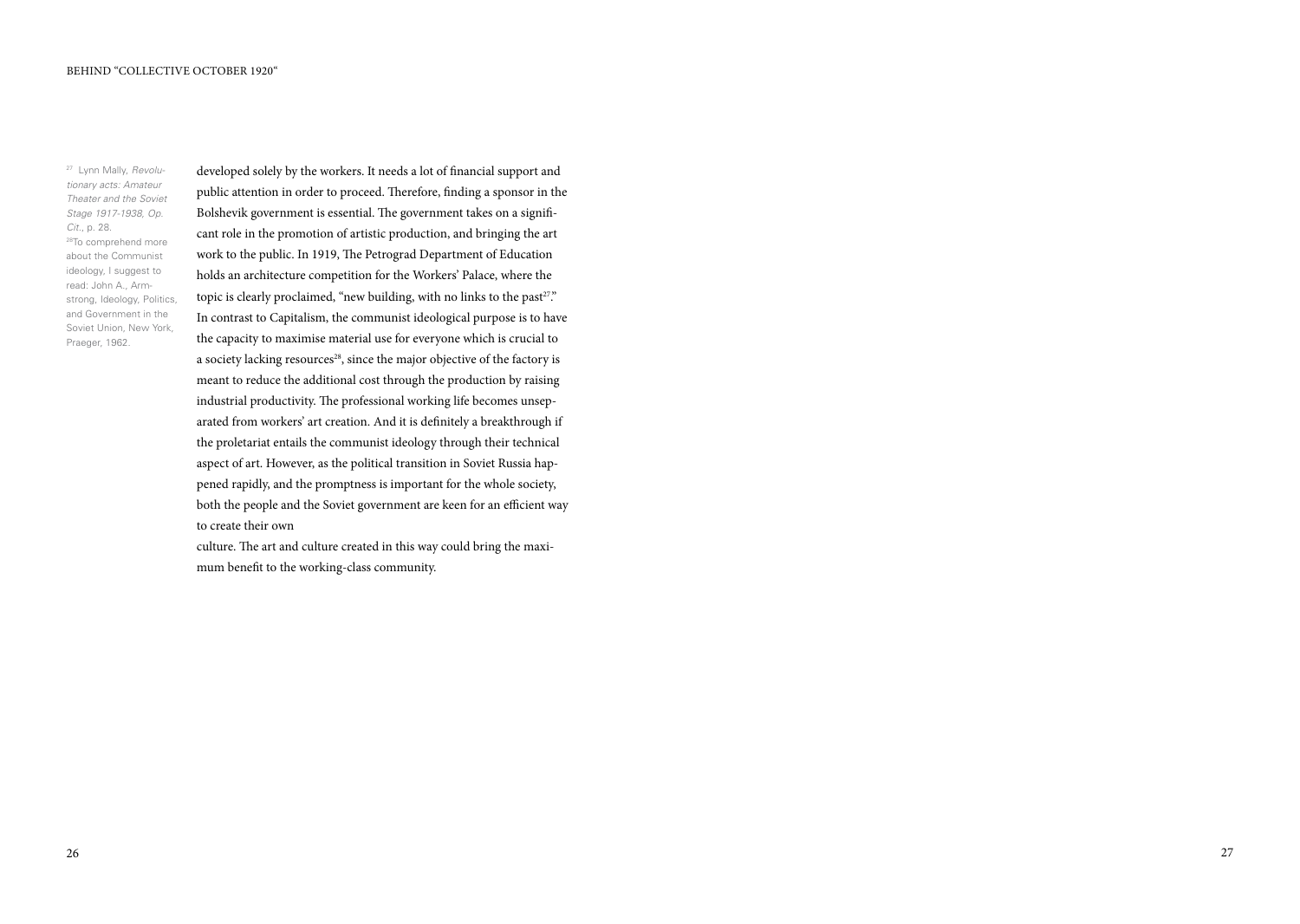27 Lynn Mally, *Revolutionary acts: Amateur Theater and the Soviet Stage 1917-1938, Op. Cit*., p. 28. 28To comprehend more about the Communist ideology, I suggest to read: John A., Armstrong, Ideology, Politics, and Government in the Soviet Union, New York, Praeger, 1962.

developed solely by the workers. It needs a lot of financial support and public attention in order to proceed. Therefore, finding a sponsor in the Bolshevik government is essential. The government takes on a significant role in the promotion of artistic production, and bringing the art work to the public. In 1919, The Petrograd Department of Education holds an architecture competition for the Workers' Palace, where the topic is clearly proclaimed, "new building, with no links to the past<sup>27</sup>." In contrast to Capitalism, the communist ideological purpose is to have the capacity to maximise material use for everyone which is crucial to a society lacking resources<sup>28</sup>, since the major objective of the factory is meant to reduce the additional cost through the production by raising industrial productivity. The professional working life becomes unseparated from workers' art creation. And it is definitely a breakthrough if the proletariat entails the communist ideology through their technical aspect of art. However, as the political transition in Soviet Russia happened rapidly, and the promptness is important for the whole society, both the people and the Soviet government are keen for an efficient way to create their own

culture. The art and culture created in this way could bring the maximum benefit to the working-class community.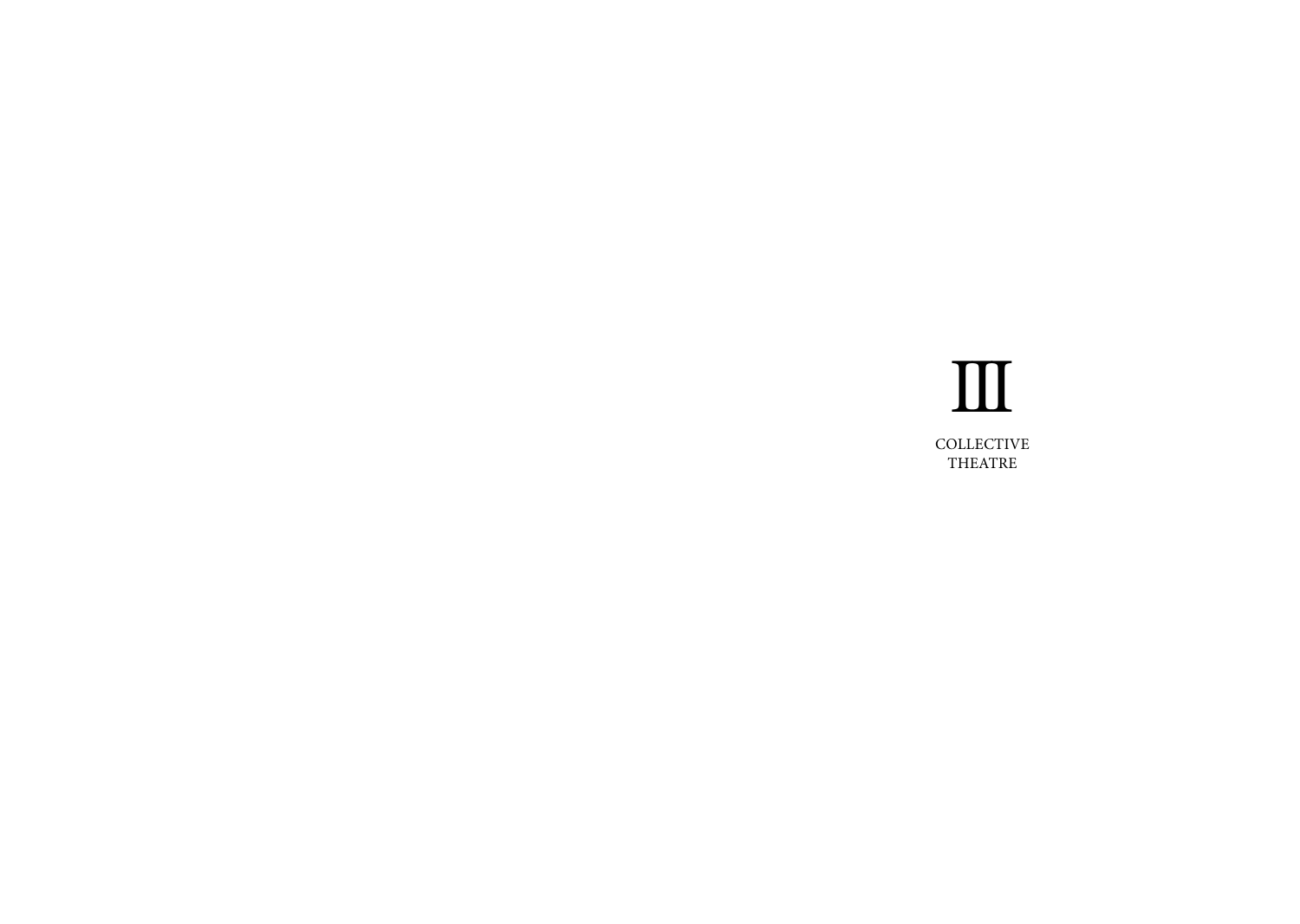# III COLLE **THEATRE**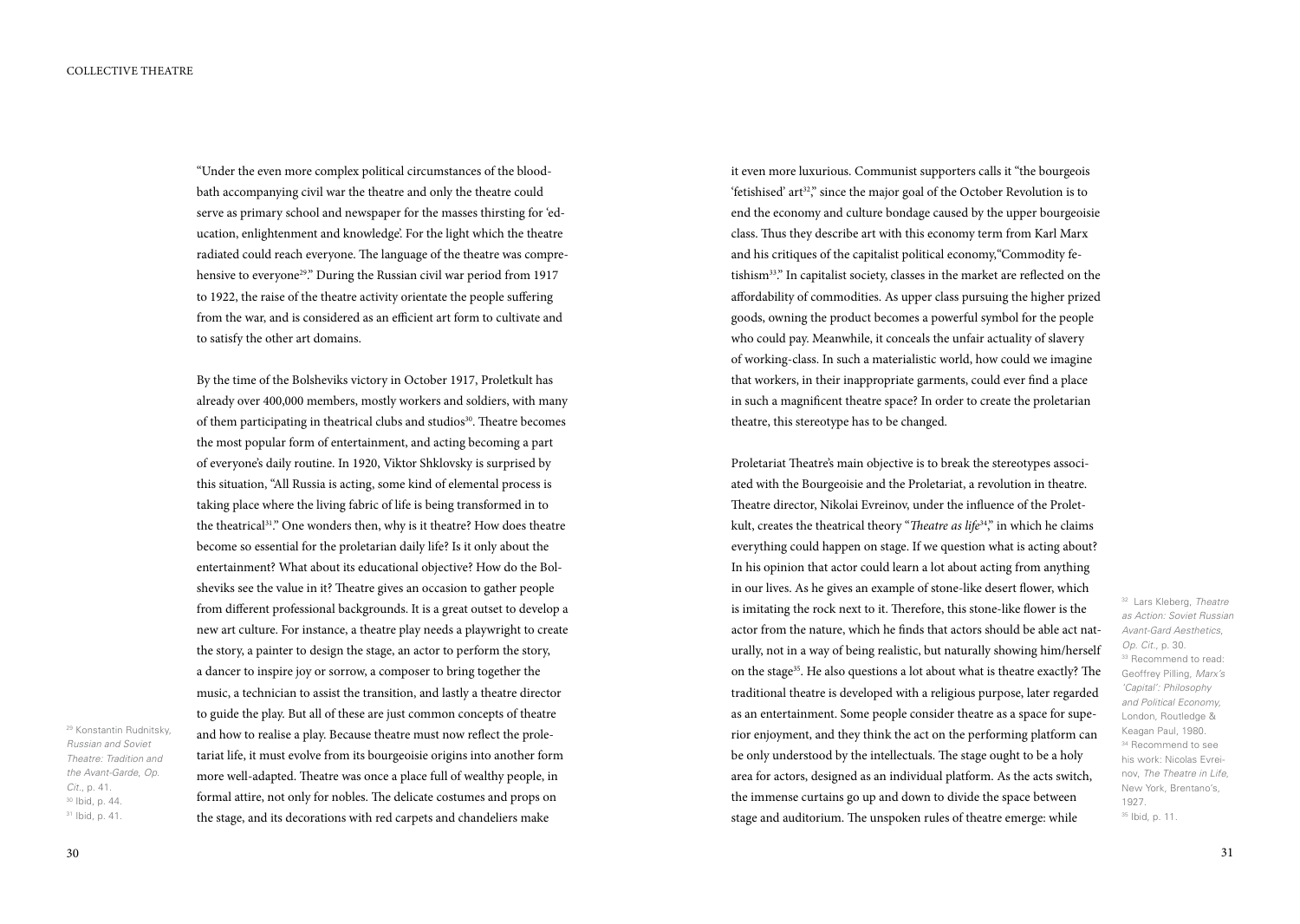"Under the even more complex political circumstances of the bloodbath accompanying civil war the theatre and only the theatre could serve as primary school and newspaper for the masses thirsting for 'education, enlightenment and knowledge'. For the light which the theatre radiated could reach everyone. The language of the theatre was comprehensive to everyone<sup>29</sup>." During the Russian civil war period from 1917 to 1922, the raise of the theatre activity orientate the people suffering from the war, and is considered as an efficient art form to cultivate and to satisfy the other art domains.

By the time of the Bolsheviks victory in October 1917, Proletkult has already over 400,000 members, mostly workers and soldiers, with many of them participating in theatrical clubs and studios<sup>30</sup>. Theatre becomes the most popular form of entertainment, and acting becoming a part of everyone's daily routine. In 1920, Viktor Shklovsky is surprised by this situation, "All Russia is acting, some kind of elemental process is taking place where the living fabric of life is being transformed in to the theatrical31." One wonders then, why is it theatre? How does theatre become so essential for the proletarian daily life? Is it only about the entertainment? What about its educational objective? How do the Bolsheviks see the value in it? Theatre gives an occasion to gather people from different professional backgrounds. It is a great outset to develop a new art culture. For instance, a theatre play needs a playwright to create the story, a painter to design the stage, an actor to perform the story, a dancer to inspire joy or sorrow, a composer to bring together the music, a technician to assist the transition, and lastly a theatre director to guide the play. But all of these are just common concepts of theatre and how to realise a play. Because theatre must now reflect the proletariat life, it must evolve from its bourgeoisie origins into another form more well-adapted. Theatre was once a place full of wealthy people, in formal attire, not only for nobles. The delicate costumes and props on the stage, and its decorations with red carpets and chandeliers make

it even more luxurious. Communist supporters calls it "the bourgeois 'fetishised' art<sup>32</sup>," since the major goal of the October Revolution is to end the economy and culture bondage caused by the upper bourgeoisie class. Thus they describe art with this economy term from Karl Marx and his critiques of the capitalist political economy,"Commodity fetishism<sup>33</sup>." In capitalist society, classes in the market are reflected on the affordability of commodities. As upper class pursuing the higher prized goods, owning the product becomes a powerful symbol for the people who could pay. Meanwhile, it conceals the unfair actuality of slavery of working-class. In such a materialistic world, how could we imagine that workers, in their inappropriate garments, could ever find a place in such a magnificent theatre space? In order to create the proletarian theatre, this stereotype has to be changed.

Proletariat Theatre's main objective is to break the stereotypes associated with the Bourgeoisie and the Proletariat, a revolution in theatre. Theatre director, Nikolai Evreinov, under the influence of the Proletkult, creates the theatrical theory "*Theatre as life*34," in which he claims everything could happen on stage. If we question what is acting about? In his opinion that actor could learn a lot about acting from anything in our lives. As he gives an example of stone-like desert flower, which is imitating the rock next to it. Therefore, this stone-like flower is the actor from the nature, which he finds that actors should be able act naturally, not in a way of being realistic, but naturally showing him/herself on the stage<sup>35</sup>. He also questions a lot about what is theatre exactly? The traditional theatre is developed with a religious purpose, later regarded as an entertainment. Some people consider theatre as a space for superior enjoyment, and they think the act on the performing platform can be only understood by the intellectuals. The stage ought to be a holy area for actors, designed as an individual platform. As the acts switch, the immense curtains go up and down to divide the space between stage and auditorium. The unspoken rules of theatre emerge: while

32 Lars Kleberg, *Theatre as Action: Soviet Russian Avant-Gard Aesthetics*, *Op. Cit.*, p. 30. <sup>33</sup> Recommend to read: Geoffrey Pilling, *Marx's 'Capital': Philosophy and Political Economy,*  London, Routledge & Keagan Paul, 1980. 34 Recommend to see his work: Nicolas Evreinov, *The Theatre in Life*, New York, Brentano's, 1927. 35 Ibid, p. 11.

*the Avant-Garde*, *Op. Cit.*, p. 41. 30 Ibid, p. 44. 31 Ibid, p. 41.

29 Konstantin Rudnitsky, *Russian and Soviet Theatre: Tradition and*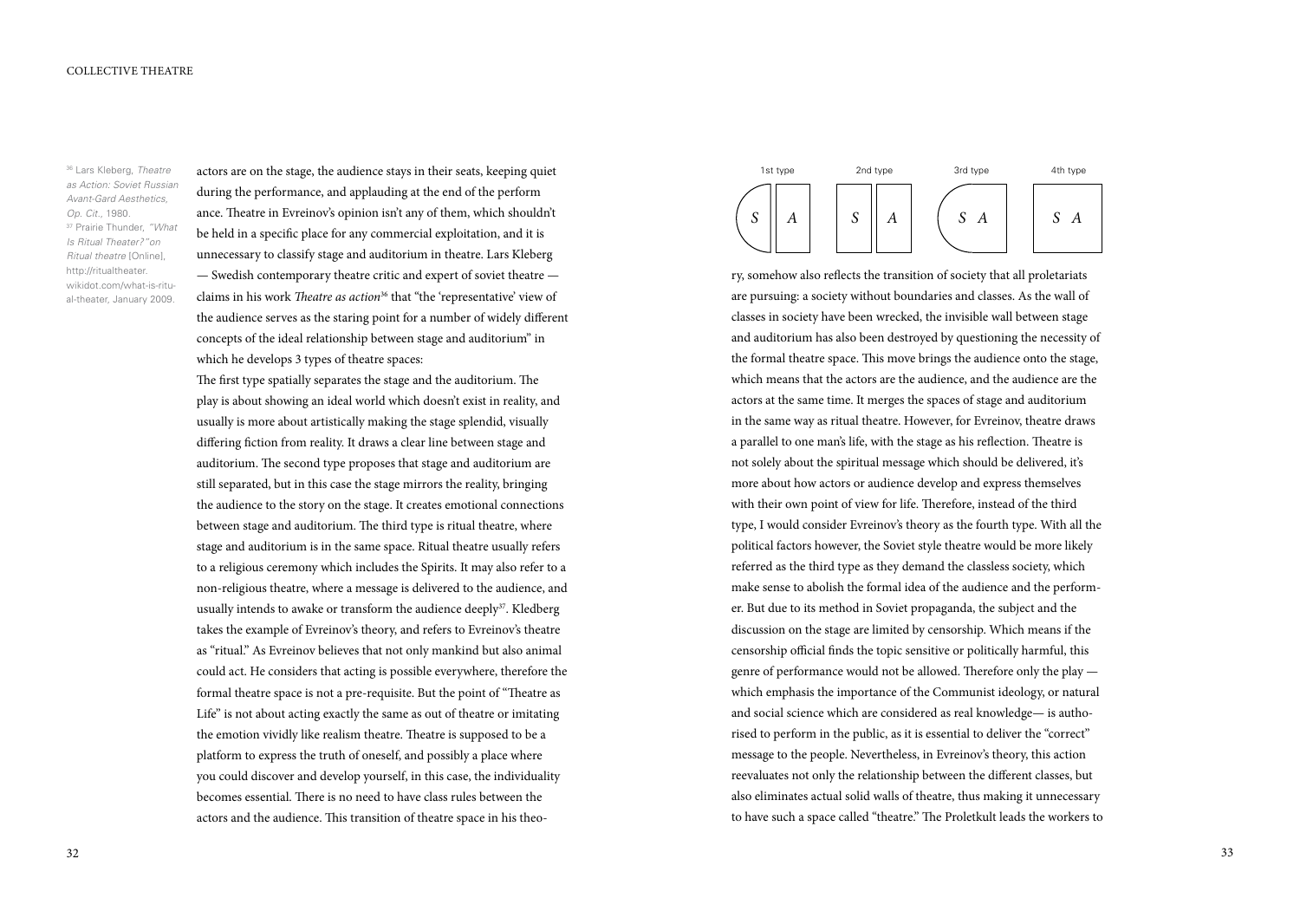36 Lars Kleberg, *Theatre as Action: Soviet Russian Avant-Gard Aesthetics*, *Op. Cit.*, 1980. 37 Prairie Thunder, *"What Is Ritual Theater?"on Ritual theatre* [Online], http://ritualtheater. wikidot.com/what-is-ritual-theater, January 2009.

actors are on the stage, the audience stays in their seats, keeping quiet during the performance, and applauding at the end of the perform ance. Theatre in Evreinov's opinion isn't any of them, which shouldn't be held in a specific place for any commercial exploitation, and it is unnecessary to classify stage and auditorium in theatre. Lars Kleberg — Swedish contemporary theatre critic and expert of soviet theatre claims in his work *Theatre as action*36 that "the 'representative' view of the audience serves as the staring point for a number of widely different concepts of the ideal relationship between stage and auditorium" in which he develops 3 types of theatre spaces:

The first type spatially separates the stage and the auditorium. The play is about showing an ideal world which doesn't exist in reality, and usually is more about artistically making the stage splendid, visually differing fiction from reality. It draws a clear line between stage and auditorium. The second type proposes that stage and auditorium are still separated, but in this case the stage mirrors the reality, bringing the audience to the story on the stage. It creates emotional connections between stage and auditorium. The third type is ritual theatre, where stage and auditorium is in the same space. Ritual theatre usually refers to a religious ceremony which includes the Spirits. It may also refer to a non-religious theatre, where a message is delivered to the audience, and usually intends to awake or transform the audience deeply<sup>37</sup>. Kledberg takes the example of Evreinov's theory, and refers to Evreinov's theatre as "ritual." As Evreinov believes that not only mankind but also animal could act. He considers that acting is possible everywhere, therefore the formal theatre space is not a pre-requisite. But the point of "Theatre as Life" is not about acting exactly the same as out of theatre or imitating the emotion vividly like realism theatre. Theatre is supposed to be a platform to express the truth of oneself, and possibly a place where you could discover and develop yourself, in this case, the individuality becomes essential. There is no need to have class rules between the actors and the audience. This transition of theatre space in his theo-



ry, somehow also reflects the transition of society that all proletariats are pursuing: a society without boundaries and classes. As the wall of classes in society have been wrecked, the invisible wall between stage and auditorium has also been destroyed by questioning the necessity of the formal theatre space. This move brings the audience onto the stage, which means that the actors are the audience, and the audience are the actors at the same time. It merges the spaces of stage and auditorium in the same way as ritual theatre. However, for Evreinov, theatre draws a parallel to one man's life, with the stage as his reflection. Theatre is not solely about the spiritual message which should be delivered, it's more about how actors or audience develop and express themselves with their own point of view for life. Therefore, instead of the third type, I would consider Evreinov's theory as the fourth type. With all the political factors however, the Soviet style theatre would be more likely referred as the third type as they demand the classless society, which make sense to abolish the formal idea of the audience and the performer. But due to its method in Soviet propaganda, the subject and the discussion on the stage are limited by censorship. Which means if the censorship official finds the topic sensitive or politically harmful, this genre of performance would not be allowed. Therefore only the play which emphasis the importance of the Communist ideology, or natural and social science which are considered as real knowledge— is authorised to perform in the public, as it is essential to deliver the "correct" message to the people. Nevertheless, in Evreinov's theory, this action reevaluates not only the relationship between the different classes, but also eliminates actual solid walls of theatre, thus making it unnecessary to have such a space called "theatre." The Proletkult leads the workers to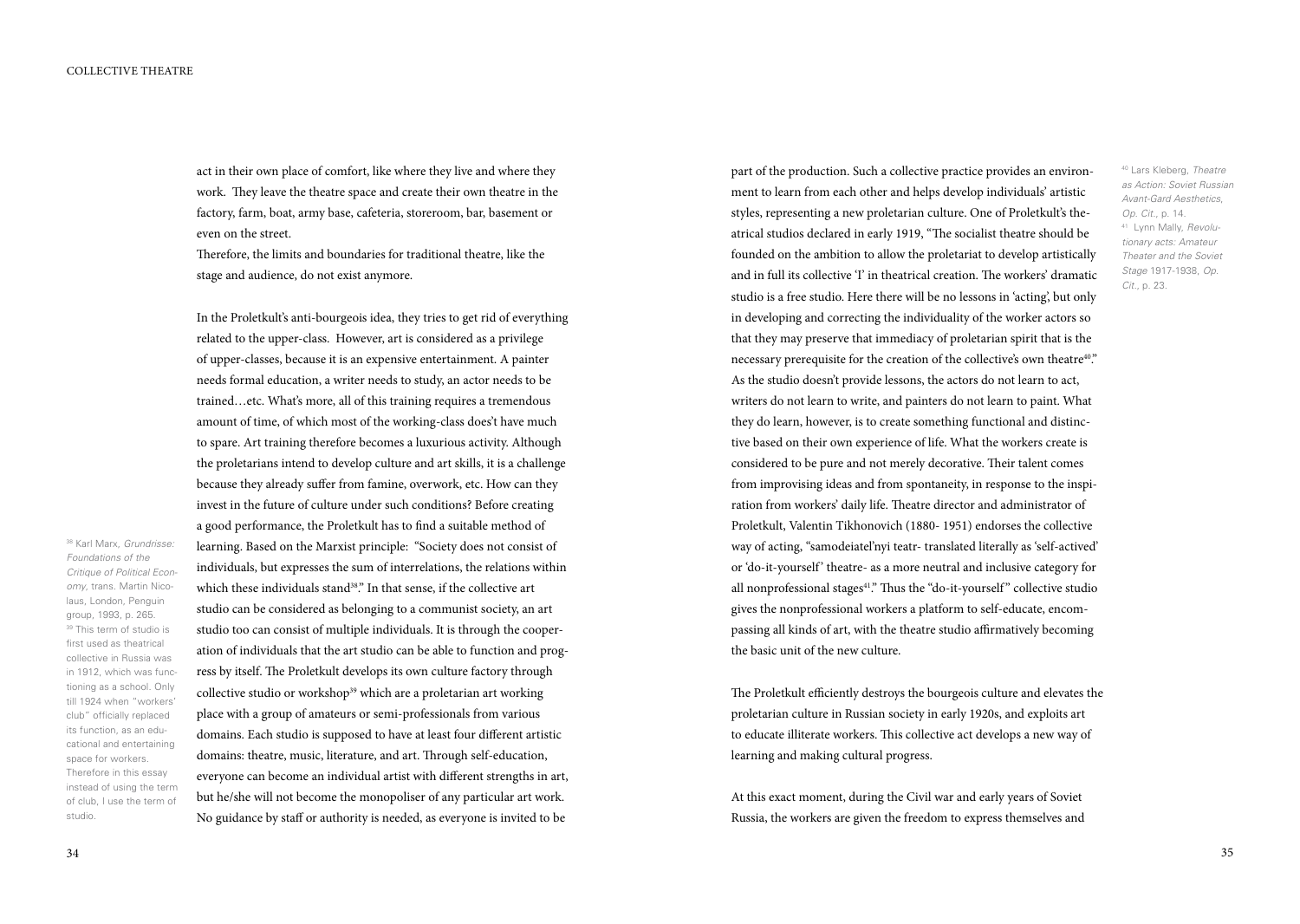38 Karl Marx, *Grundrisse: Foundations of the Critique of Political Economy*, trans. Martin Nicolaus, London, Penguin group, 1993, p. 265. <sup>39</sup> This term of studio is first used as theatrical collective in Russia was in 1912, which was functioning as a school. Only till 1924 when "workers' club" officially replaced its function, as an educational and entertaining space for workers. Therefore in this essay instead of using the term of club, I use the term of

act in their own place of comfort, like where they live and where they work. They leave the theatre space and create their own theatre in the factory, farm, boat, army base, cafeteria, storeroom, bar, basement or even on the street.

Therefore, the limits and boundaries for traditional theatre, like the stage and audience, do not exist anymore.

In the Proletkult's anti-bourgeois idea, they tries to get rid of everything related to the upper-class. However, art is considered as a privilege of upper-classes, because it is an expensive entertainment. A painter needs formal education, a writer needs to study, an actor needs to be trained…etc. What's more, all of this training requires a tremendous amount of time, of which most of the working-class does't have much to spare. Art training therefore becomes a luxurious activity. Although the proletarians intend to develop culture and art skills, it is a challenge because they already suffer from famine, overwork, etc. How can they invest in the future of culture under such conditions? Before creating a good performance, the Proletkult has to find a suitable method of learning. Based on the Marxist principle: "Society does not consist of individuals, but expresses the sum of interrelations, the relations within which these individuals stand<sup>38</sup>." In that sense, if the collective art studio can be considered as belonging to a communist society, an art studio too can consist of multiple individuals. It is through the cooperation of individuals that the art studio can be able to function and progress by itself. The Proletkult develops its own culture factory through collective studio or workshop<sup>39</sup> which are a proletarian art working place with a group of amateurs or semi-professionals from various domains. Each studio is supposed to have at least four different artistic domains: theatre, music, literature, and art. Through self-education, everyone can become an individual artist with different strengths in art, but he/she will not become the monopoliser of any particular art work. No guidance by staff or authority is needed, as everyone is invited to be

part of the production. Such a collective practice provides an environment to learn from each other and helps develop individuals' artistic styles, representing a new proletarian culture. One of Proletkult's theatrical studios declared in early 1919, "The socialist theatre should be founded on the ambition to allow the proletariat to develop artistically and in full its collective 'I' in theatrical creation. The workers' dramatic studio is a free studio. Here there will be no lessons in 'acting', but only in developing and correcting the individuality of the worker actors so that they may preserve that immediacy of proletarian spirit that is the necessary prerequisite for the creation of the collective's own theatre<sup>40</sup>." As the studio doesn't provide lessons, the actors do not learn to act, writers do not learn to write, and painters do not learn to paint. What they do learn, however, is to create something functional and distinctive based on their own experience of life. What the workers create is considered to be pure and not merely decorative. Their talent comes from improvising ideas and from spontaneity, in response to the inspiration from workers' daily life. Theatre director and administrator of Proletkult, Valentin Tikhonovich (1880- 1951) endorses the collective way of acting, "samodeiatel'nyi teatr- translated literally as 'self-actived' or 'do-it-yourself' theatre- as a more neutral and inclusive category for all nonprofessional stages<sup>41</sup>." Thus the "do-it-yourself" collective studio gives the nonprofessional workers a platform to self-educate, encompassing all kinds of art, with the theatre studio affirmatively becoming the basic unit of the new culture.

The Proletkult efficiently destroys the bourgeois culture and elevates the proletarian culture in Russian society in early 1920s, and exploits art to educate illiterate workers. This collective act develops a new way of learning and making cultural progress.

At this exact moment, during the Civil war and early years of Soviet Russia, the workers are given the freedom to express themselves and

studio.

40 Lars Kleberg, *Theatre as Action: Soviet Russian Avant-Gard Aesthetics*, *Op. Cit.*, p. 14. 41 Lynn Mally, *Revolutionary acts: Amateur Theater and the Soviet Stage* 1917-1938, *Op. Cit.*, p. 23.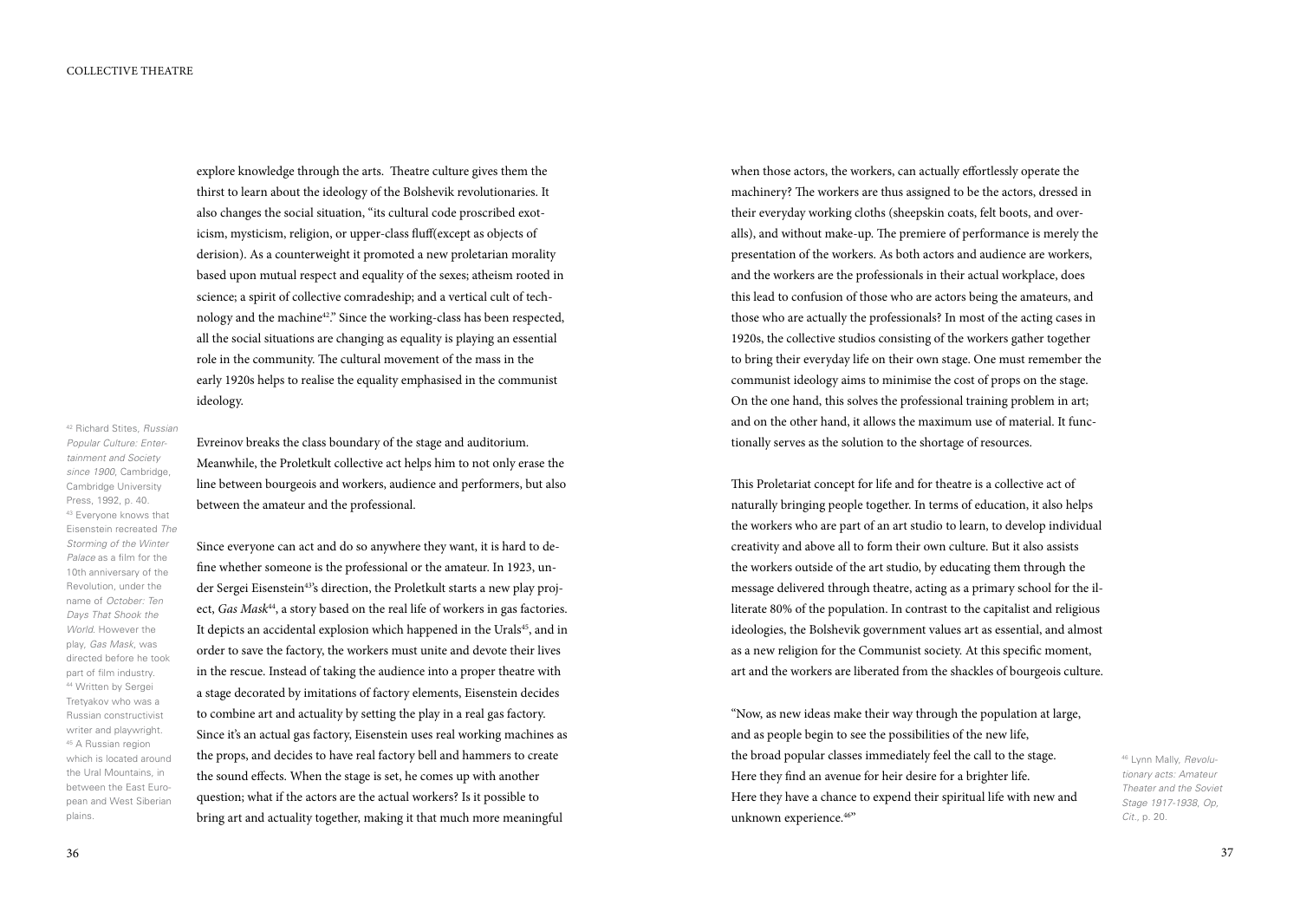explore knowledge through the arts. Theatre culture gives them the thirst to learn about the ideology of the Bolshevik revolutionaries. It also changes the social situation, "its cultural code proscribed exoticism, mysticism, religion, or upper-class fluff(except as objects of derision). As a counterweight it promoted a new proletarian morality based upon mutual respect and equality of the sexes; atheism rooted in science; a spirit of collective comradeship; and a vertical cult of technology and the machine<sup>42</sup>." Since the working-class has been respected, all the social situations are changing as equality is playing an essential role in the community. The cultural movement of the mass in the early 1920s helps to realise the equality emphasised in the communist ideology.

42 Richard Stites, *Russian Popular Culture: Entertainment and Society since 1900*, Cambridge, Cambridge University Press, 1992, p. 40. 43 Everyone knows that Eisenstein recreated *The Storming of the Winter Palace* as a film for the 10th anniversary of the Revolution, under the name of *October: Ten Days That Shook the World*. However the play, *Gas Mask*, was directed before he took part of film industry. 44 Written by Sergei Tretyakov who was a Russian constructivist writer and playwright. 45 A Russian region which is located around the Ural Mountains, in between the East European and West Siberian plains.

Evreinov breaks the class boundary of the stage and auditorium. Meanwhile, the Proletkult collective act helps him to not only erase the line between bourgeois and workers, audience and performers, but also between the amateur and the professional.

Since everyone can act and do so anywhere they want, it is hard to define whether someone is the professional or the amateur. In 1923, under Sergei Eisenstein<sup>43'</sup>s direction, the Proletkult starts a new play project, *Gas Mask<sup>44</sup>*, a story based on the real life of workers in gas factories. It depicts an accidental explosion which happened in the Urals<sup>45</sup>, and in order to save the factory, the workers must unite and devote their lives in the rescue. Instead of taking the audience into a proper theatre with a stage decorated by imitations of factory elements, Eisenstein decides to combine art and actuality by setting the play in a real gas factory. Since it's an actual gas factory, Eisenstein uses real working machines as the props, and decides to have real factory bell and hammers to create the sound effects. When the stage is set, he comes up with another question; what if the actors are the actual workers? Is it possible to bring art and actuality together, making it that much more meaningful

when those actors, the workers, can actually effortlessly operate the machinery? The workers are thus assigned to be the actors, dressed in their everyday working cloths (sheepskin coats, felt boots, and overalls), and without make-up. The premiere of performance is merely the presentation of the workers. As both actors and audience are workers, and the workers are the professionals in their actual workplace, does this lead to confusion of those who are actors being the amateurs, and those who are actually the professionals? In most of the acting cases in 1920s, the collective studios consisting of the workers gather together to bring their everyday life on their own stage. One must remember the communist ideology aims to minimise the cost of props on the stage. On the one hand, this solves the professional training problem in art; and on the other hand, it allows the maximum use of material. It functionally serves as the solution to the shortage of resources.

This Proletariat concept for life and for theatre is a collective act of naturally bringing people together. In terms of education, it also helps the workers who are part of an art studio to learn, to develop individual creativity and above all to form their own culture. But it also assists the workers outside of the art studio, by educating them through the message delivered through theatre, acting as a primary school for the illiterate 80% of the population. In contrast to the capitalist and religious ideologies, the Bolshevik government values art as essential, and almost as a new religion for the Communist society. At this specific moment, art and the workers are liberated from the shackles of bourgeois culture.

"Now, as new ideas make their way through the population at large, and as people begin to see the possibilities of the new life, the broad popular classes immediately feel the call to the stage. Here they find an avenue for heir desire for a brighter life. Here they have a chance to expend their spiritual life with new and unknown experience.46"

46 Lynn Mally, *Revolutionary acts: Amateur Theater and the Soviet Stage 1917-1938*, *Op, Cit.*, p. 20.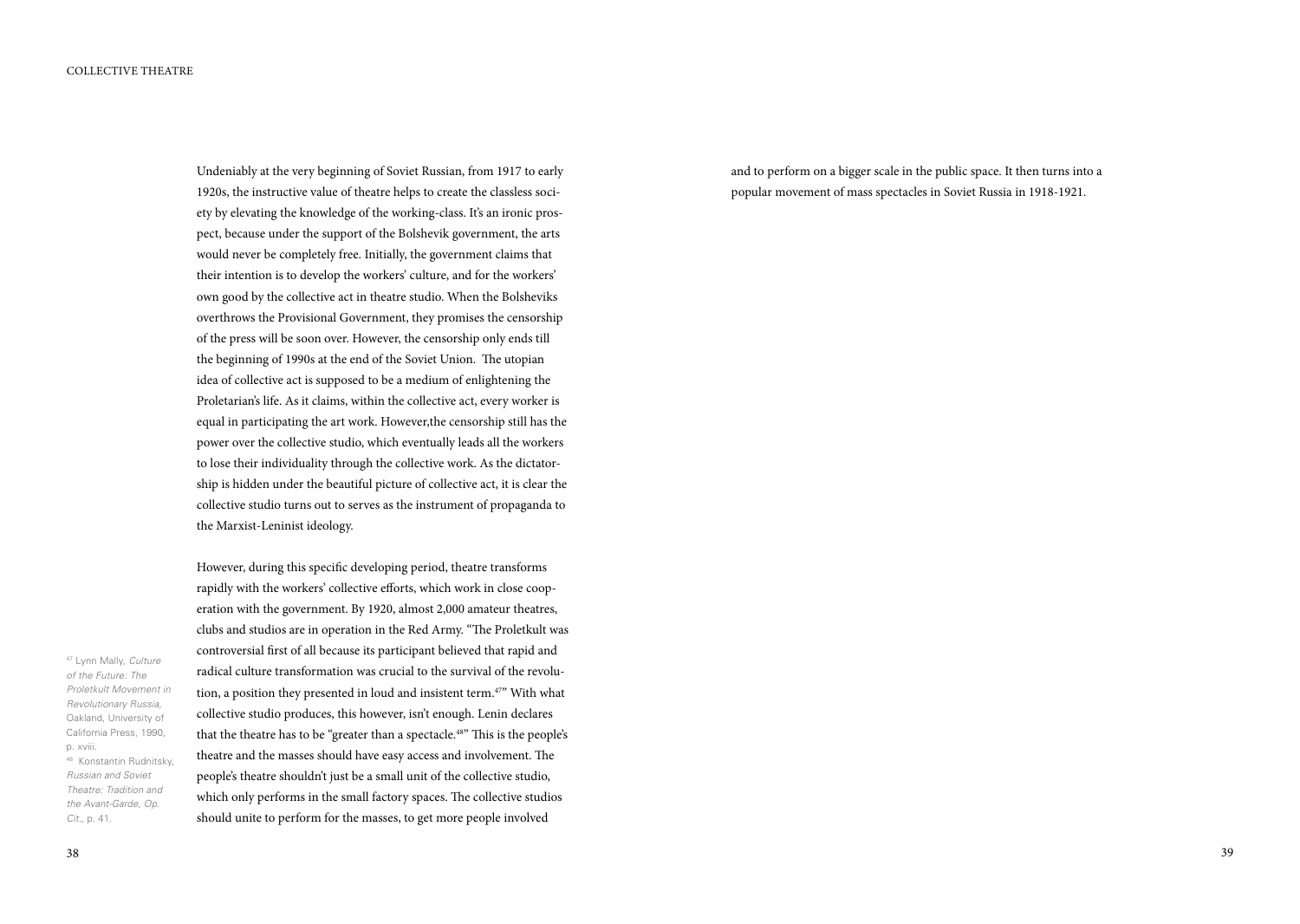Undeniably at the very beginning of Soviet Russian, from 1917 to early 1920s, the instructive value of theatre helps to create the classless society by elevating the knowledge of the working-class. It's an ironic prospect, because under the support of the Bolshevik government, the arts would never be completely free. Initially, the government claims that their intention is to develop the workers' culture, and for the workers' own good by the collective act in theatre studio. When the Bolsheviks overthrows the Provisional Government, they promises the censorship of the press will be soon over. However, the censorship only ends till the beginning of 1990s at the end of the Soviet Union. The utopian idea of collective act is supposed to be a medium of enlightening the Proletarian's life. As it claims, within the collective act, every worker is equal in participating the art work. However,the censorship still has the power over the collective studio, which eventually leads all the workers to lose their individuality through the collective work. As the dictatorship is hidden under the beautiful picture of collective act, it is clear the collective studio turns out to serves as the instrument of propaganda to the Marxist-Leninist ideology.

However, during this specific developing period, theatre transforms rapidly with the workers' collective efforts, which work in close cooperation with the government. By 1920, almost 2,000 amateur theatres, clubs and studios are in operation in the Red Army. "The Proletkult was controversial first of all because its participant believed that rapid and radical culture transformation was crucial to the survival of the revolution, a position they presented in loud and insistent term.47" With what collective studio produces, this however, isn't enough. Lenin declares that the theatre has to be "greater than a spectacle.<sup>48"</sup> This is the people's theatre and the masses should have easy access and involvement. The people's theatre shouldn't just be a small unit of the collective studio, which only performs in the small factory spaces. The collective studios should unite to perform for the masses, to get more people involved

and to perform on a bigger scale in the public space. It then turns into a popular movement of mass spectacles in Soviet Russia in 1918-1921.

47 Lynn Mally, *Culture of the Future: The Proletkult Movement in Revolutionary Russia*, Oakland, University of California Press, 1990, p. xviii. 48 Konstantin Rudnitsky, *Russian and Soviet Theatre: Tradition and* 

*the Avant-Garde*, *Op.* 

*Cit.*, p. 41.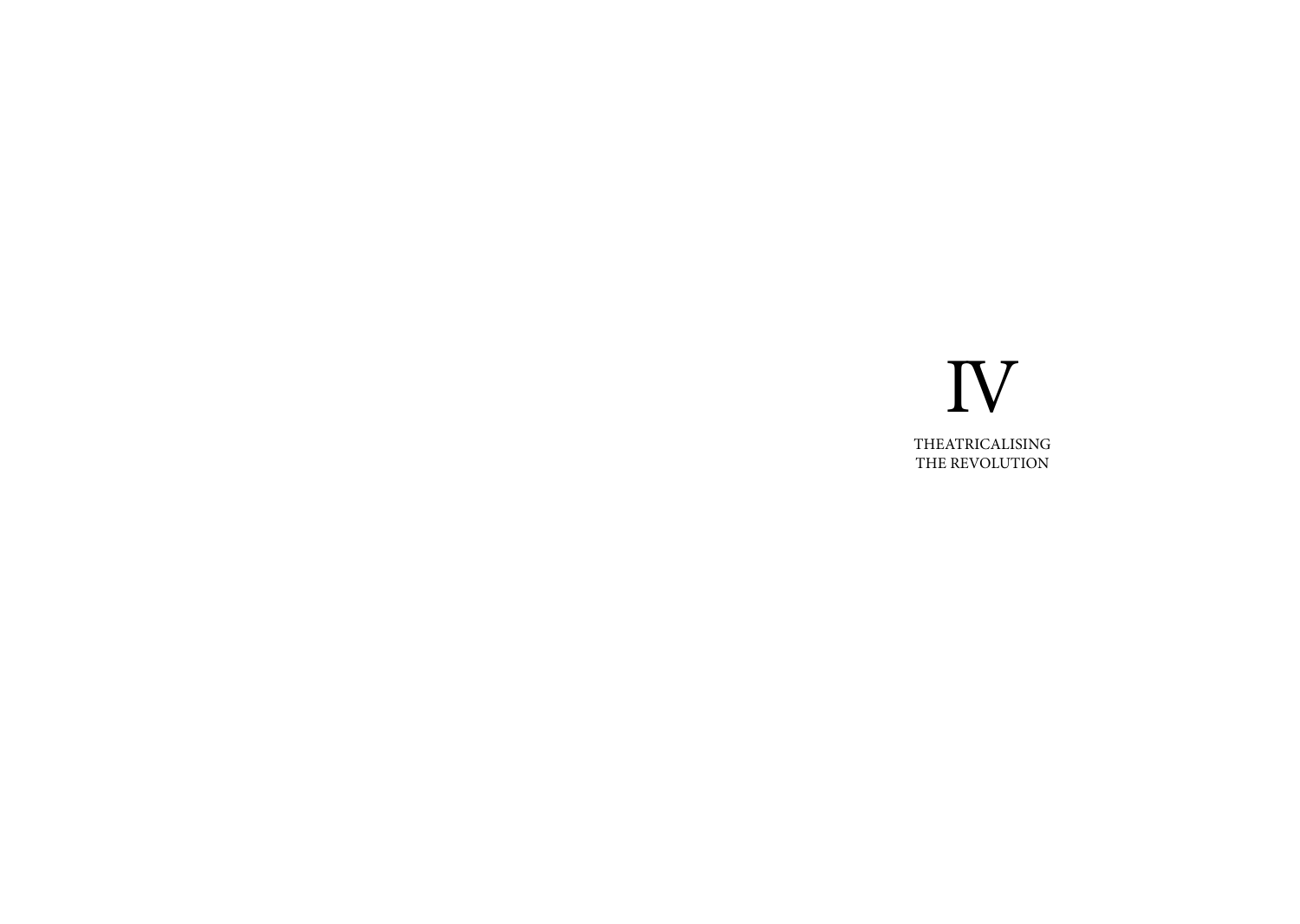# IV Theatricalising THE REVOLUTION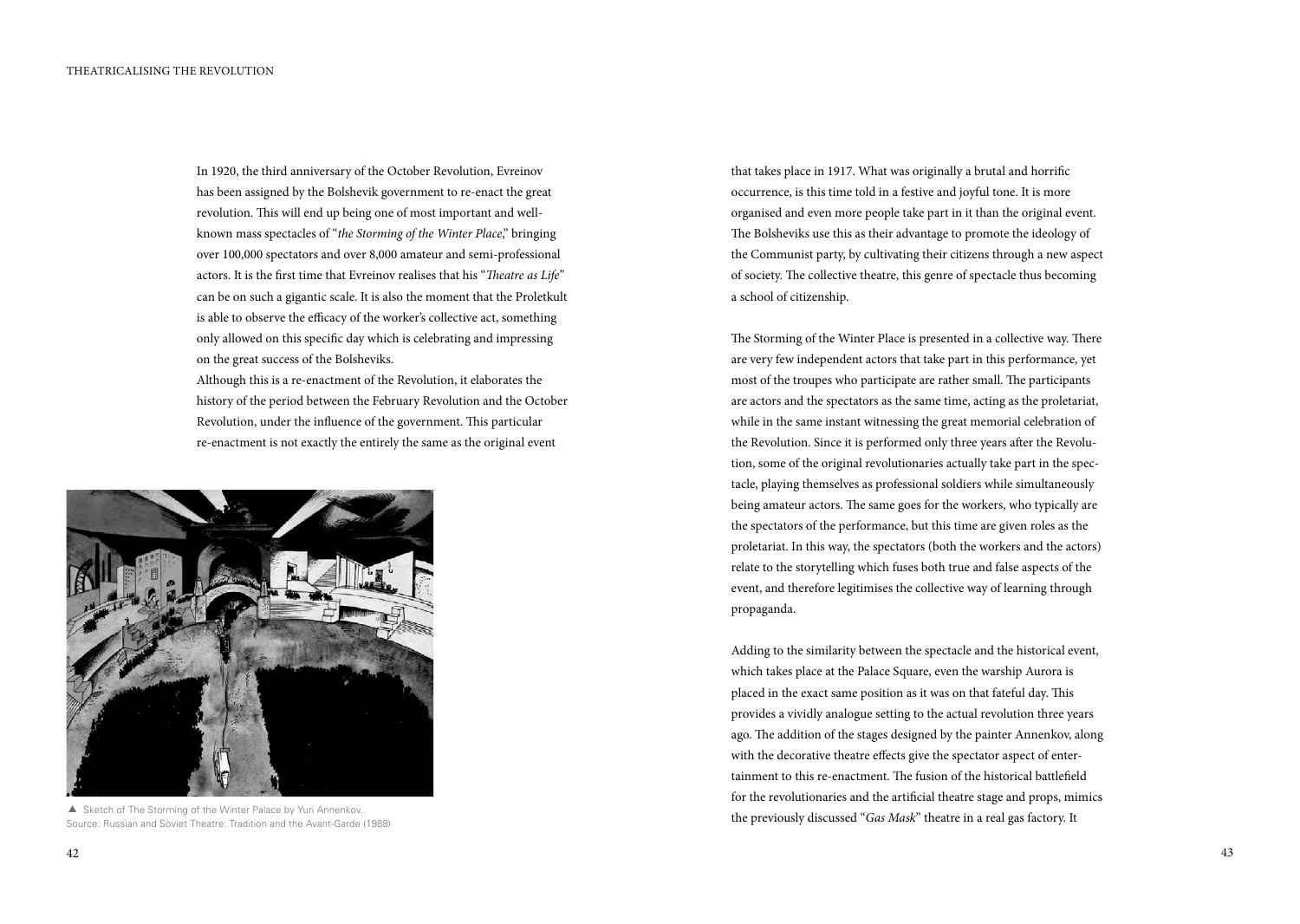In 1920, the third anniversary of the October Revolution, Evreinov has been assigned by the Bolshevik government to re-enact the great revolution. This will end up being one of most important and wellknown mass spectacles of "*the Storming of the Winter Place*," bringing over 100,000 spectators and over 8,000 amateur and semi-professional actors. It is the first time that Evreinov realises that his "*Theatre as Life*" can be on such a gigantic scale. It is also the moment that the Proletkult is able to observe the efficacy of the worker's collective act, something only allowed on this specific day which is celebrating and impressing on the great success of the Bolsheviks.

Although this is a re-enactment of the Revolution, it elaborates the history of the period between the February Revolution and the October Revolution, under the influence of the government. This particular re-enactment is not exactly the entirely the same as the original event



Source: Russian and Soviet Theatre: Tradition and the Avant-Garde (1988)

that takes place in 1917. What was originally a brutal and horrific occurrence, is this time told in a festive and joyful tone. It is more organised and even more people take part in it than the original event. The Bolsheviks use this as their advantage to promote the ideology of the Communist party, by cultivating their citizens through a new aspect of society. The collective theatre, this genre of spectacle thus becoming a school of citizenship.

The Storming of the Winter Place is presented in a collective way. There are very few independent actors that take part in this performance, yet most of the troupes who participate are rather small. The participants are actors and the spectators as the same time, acting as the proletariat, while in the same instant witnessing the great memorial celebration of the Revolution. Since it is performed only three years after the Revolution, some of the original revolutionaries actually take part in the spectacle, playing themselves as professional soldiers while simultaneously being amateur actors. The same goes for the workers, who typically are the spectators of the performance, but this time are given roles as the proletariat. In this way, the spectators (both the workers and the actors) relate to the storytelling which fuses both true and false aspects of the event, and therefore legitimises the collective way of learning through propaganda.

Adding to the similarity between the spectacle and the historical event, which takes place at the Palace Square, even the warship Aurora is placed in the exact same position as it was on that fateful day. This provides a vividly analogue setting to the actual revolution three years ago. The addition of the stages designed by the painter Annenkov, along with the decorative theatre effects give the spectator aspect of entertainment to this re-enactment. The fusion of the historical battlefield for the revolutionaries and the artificial theatre stage and props, mimics ▲ Sketch of The Storming of the Winter Palace by Yuri Annenkov.<br>Seurces Puesia and Seurch Theatre Tradition and the August Carde (1999) **the previously discussed "***Gas Mask***" theatre in a real gas factory. It**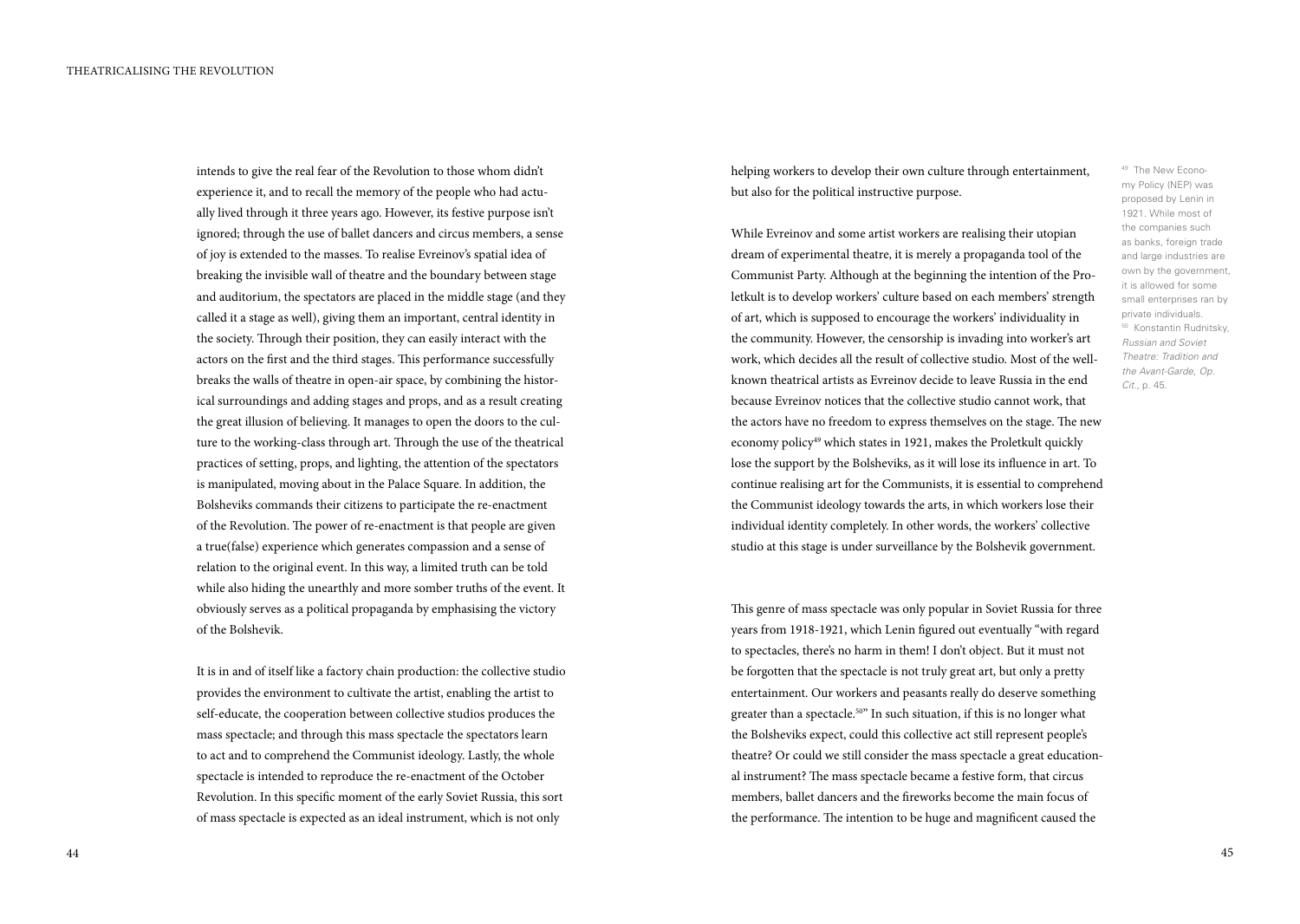intends to give the real fear of the Revolution to those whom didn't experience it, and to recall the memory of the people who had actually lived through it three years ago. However, its festive purpose isn't ignored; through the use of ballet dancers and circus members, a sense of joy is extended to the masses. To realise Evreinov's spatial idea of breaking the invisible wall of theatre and the boundary between stage and auditorium, the spectators are placed in the middle stage (and they called it a stage as well), giving them an important, central identity in the society. Through their position, they can easily interact with the actors on the first and the third stages. This performance successfully breaks the walls of theatre in open-air space, by combining the historical surroundings and adding stages and props, and as a result creating the great illusion of believing. It manages to open the doors to the culture to the working-class through art. Through the use of the theatrical practices of setting, props, and lighting, the attention of the spectators is manipulated, moving about in the Palace Square. In addition, the Bolsheviks commands their citizens to participate the re-enactment of the Revolution. The power of re-enactment is that people are given a true(false) experience which generates compassion and a sense of relation to the original event. In this way, a limited truth can be told while also hiding the unearthly and more somber truths of the event. It obviously serves as a political propaganda by emphasising the victory of the Bolshevik.

It is in and of itself like a factory chain production: the collective studio provides the environment to cultivate the artist, enabling the artist to self-educate, the cooperation between collective studios produces the mass spectacle; and through this mass spectacle the spectators learn to act and to comprehend the Communist ideology. Lastly, the whole spectacle is intended to reproduce the re-enactment of the October Revolution. In this specific moment of the early Soviet Russia, this sort of mass spectacle is expected as an ideal instrument, which is not only

helping workers to develop their own culture through entertainment, but also for the political instructive purpose.

While Evreinov and some artist workers are realising their utopian dream of experimental theatre, it is merely a propaganda tool of the Communist Party. Although at the beginning the intention of the Proletkult is to develop workers' culture based on each members' strength of art, which is supposed to encourage the workers' individuality in the community. However, the censorship is invading into worker's art work, which decides all the result of collective studio. Most of the wellknown theatrical artists as Evreinov decide to leave Russia in the end because Evreinov notices that the collective studio cannot work, that the actors have no freedom to express themselves on the stage. The new economy policy<sup>49</sup> which states in 1921, makes the Proletkult quickly lose the support by the Bolsheviks, as it will lose its influence in art. To continue realising art for the Communists, it is essential to comprehend the Communist ideology towards the arts, in which workers lose their individual identity completely. In other words, the workers' collective studio at this stage is under surveillance by the Bolshevik government.

This genre of mass spectacle was only popular in Soviet Russia for three years from 1918-1921, which Lenin figured out eventually "with regard to spectacles, there's no harm in them! I don't object. But it must not be forgotten that the spectacle is not truly great art, but only a pretty entertainment. Our workers and peasants really do deserve something greater than a spectacle.<sup>50"</sup> In such situation, if this is no longer what the Bolsheviks expect, could this collective act still represent people's theatre? Or could we still consider the mass spectacle a great educational instrument? The mass spectacle became a festive form, that circus members, ballet dancers and the fireworks become the main focus of the performance. The intention to be huge and magnificent caused the

49 The New Economy Policy (NEP) was proposed by Lenin in 1921. While most of the companies such as banks, foreign trade and large industries are own by the government, it is allowed for some small enterprises ran by private individuals. 50 Konstantin Rudnitsky, *Russian and Soviet Theatre: Tradition and the Avant-Garde*, *Op. Cit.*, p. 45.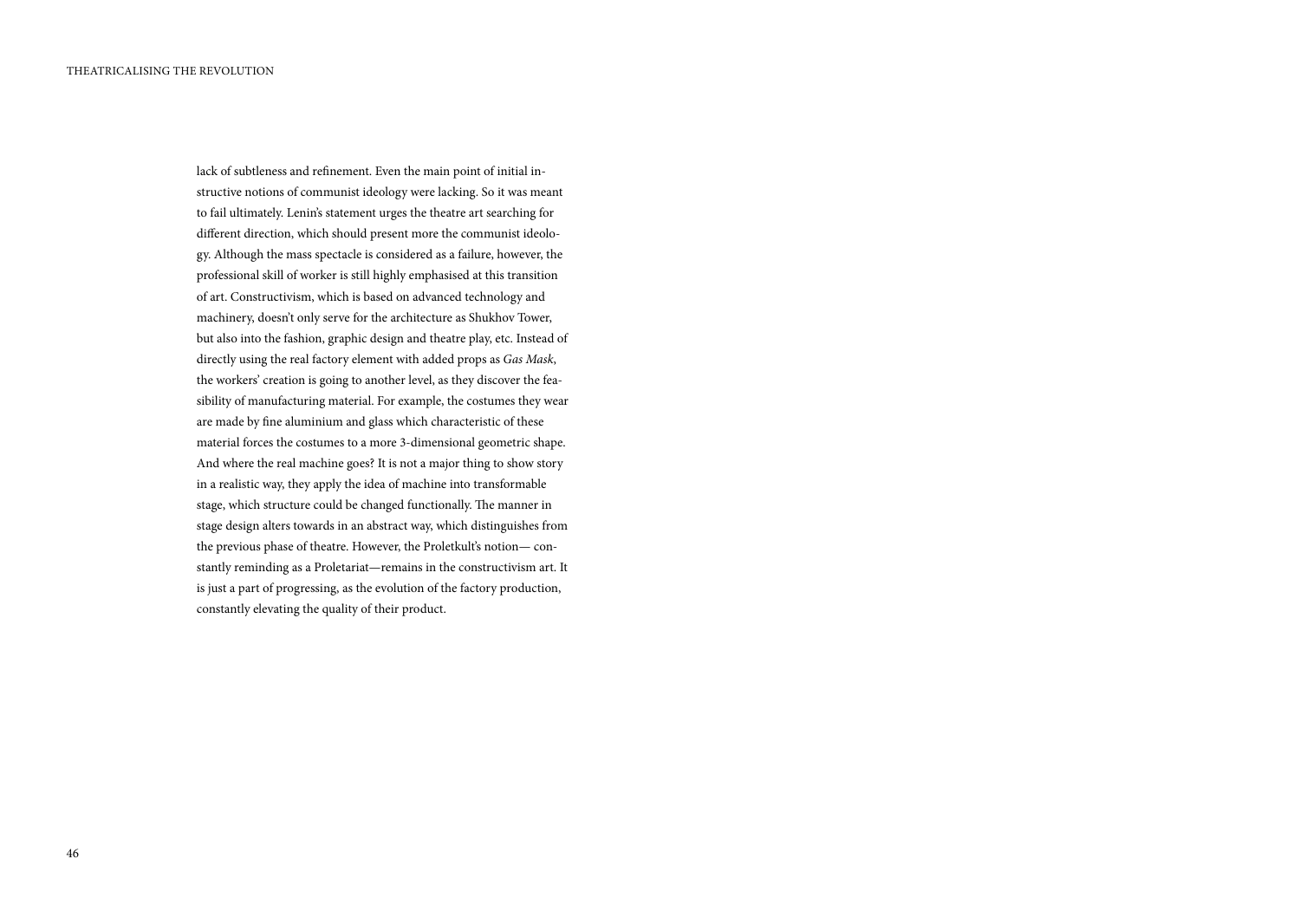lack of subtleness and refinement. Even the main point of initial instructive notions of communist ideology were lacking. So it was meant to fail ultimately. Lenin's statement urges the theatre art searching for different direction, which should present more the communist ideology. Although the mass spectacle is considered as a failure, however, the professional skill of worker is still highly emphasised at this transition of art. Constructivism, which is based on advanced technology and machinery, doesn't only serve for the architecture as Shukhov Tower, but also into the fashion, graphic design and theatre play, etc. Instead of directly using the real factory element with added props as *Gas Mask*, the workers' creation is going to another level, as they discover the feasibility of manufacturing material. For example, the costumes they wear are made by fine aluminium and glass which characteristic of these material forces the costumes to a more 3-dimensional geometric shape. And where the real machine goes? It is not a major thing to show story in a realistic way, they apply the idea of machine into transformable stage, which structure could be changed functionally. The manner in stage design alters towards in an abstract way, which distinguishes from the previous phase of theatre. However, the Proletkult's notion— constantly reminding as a Proletariat—remains in the constructivism art. It is just a part of progressing, as the evolution of the factory production, constantly elevating the quality of their product.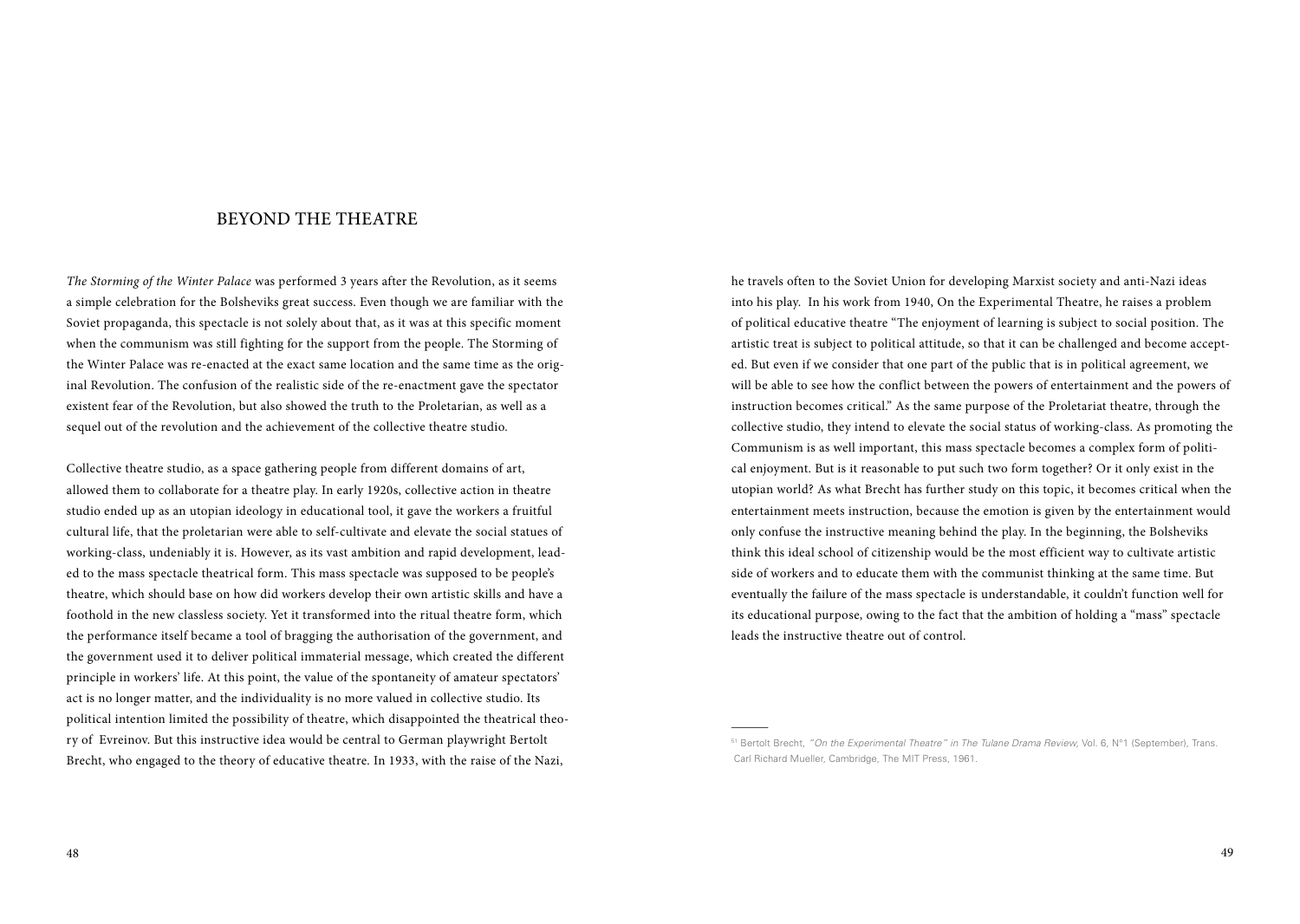#### BEYOND THE THEATRE

*The Storming of the Winter Palace* was performed 3 years after the Revolution, as it seems a simple celebration for the Bolsheviks great success. Even though we are familiar with the Soviet propaganda, this spectacle is not solely about that, as it was at this specific moment when the communism was still fighting for the support from the people. The Storming of the Winter Palace was re-enacted at the exact same location and the same time as the original Revolution. The confusion of the realistic side of the re-enactment gave the spectator existent fear of the Revolution, but also showed the truth to the Proletarian, as well as a sequel out of the revolution and the achievement of the collective theatre studio.

Collective theatre studio, as a space gathering people from different domains of art, allowed them to collaborate for a theatre play. In early 1920s, collective action in theatre studio ended up as an utopian ideology in educational tool, it gave the workers a fruitful cultural life, that the proletarian were able to self-cultivate and elevate the social statues of working-class, undeniably it is. However, as its vast ambition and rapid development, leaded to the mass spectacle theatrical form. This mass spectacle was supposed to be people's theatre, which should base on how did workers develop their own artistic skills and have a foothold in the new classless society. Yet it transformed into the ritual theatre form, which the performance itself became a tool of bragging the authorisation of the government, and the government used it to deliver political immaterial message, which created the different principle in workers' life. At this point, the value of the spontaneity of amateur spectators' act is no longer matter, and the individuality is no more valued in collective studio. Its political intention limited the possibility of theatre, which disappointed the theatrical theory of Evreinov. But this instructive idea would be central to German playwright Bertolt Brecht, who engaged to the theory of educative theatre. In 1933, with the raise of the Nazi,

he travels often to the Soviet Union for developing Marxist society and anti-Nazi ideas into his play. In his work from 1940, On the Experimental Theatre, he raises a problem of political educative theatre "The enjoyment of learning is subject to social position. The artistic treat is subject to political attitude, so that it can be challenged and become accepted. But even if we consider that one part of the public that is in political agreement, we will be able to see how the conflict between the powers of entertainment and the powers of instruction becomes critical." As the same purpose of the Proletariat theatre, through the collective studio, they intend to elevate the social status of working-class. As promoting the Communism is as well important, this mass spectacle becomes a complex form of political enjoyment. But is it reasonable to put such two form together? Or it only exist in the utopian world? As what Brecht has further study on this topic, it becomes critical when the entertainment meets instruction, because the emotion is given by the entertainment would only confuse the instructive meaning behind the play. In the beginning, the Bolsheviks think this ideal school of citizenship would be the most efficient way to cultivate artistic side of workers and to educate them with the communist thinking at the same time. But eventually the failure of the mass spectacle is understandable, it couldn't function well for its educational purpose, owing to the fact that the ambition of holding a "mass" spectacle leads the instructive theatre out of control.

<sup>51</sup> Bertolt Brecht, *"On the Experimental Theatre" in The Tulane Drama Review,* Vol. 6, N°1 (September), Trans. Carl Richard Mueller, Cambridge, The MIT Press, 1961.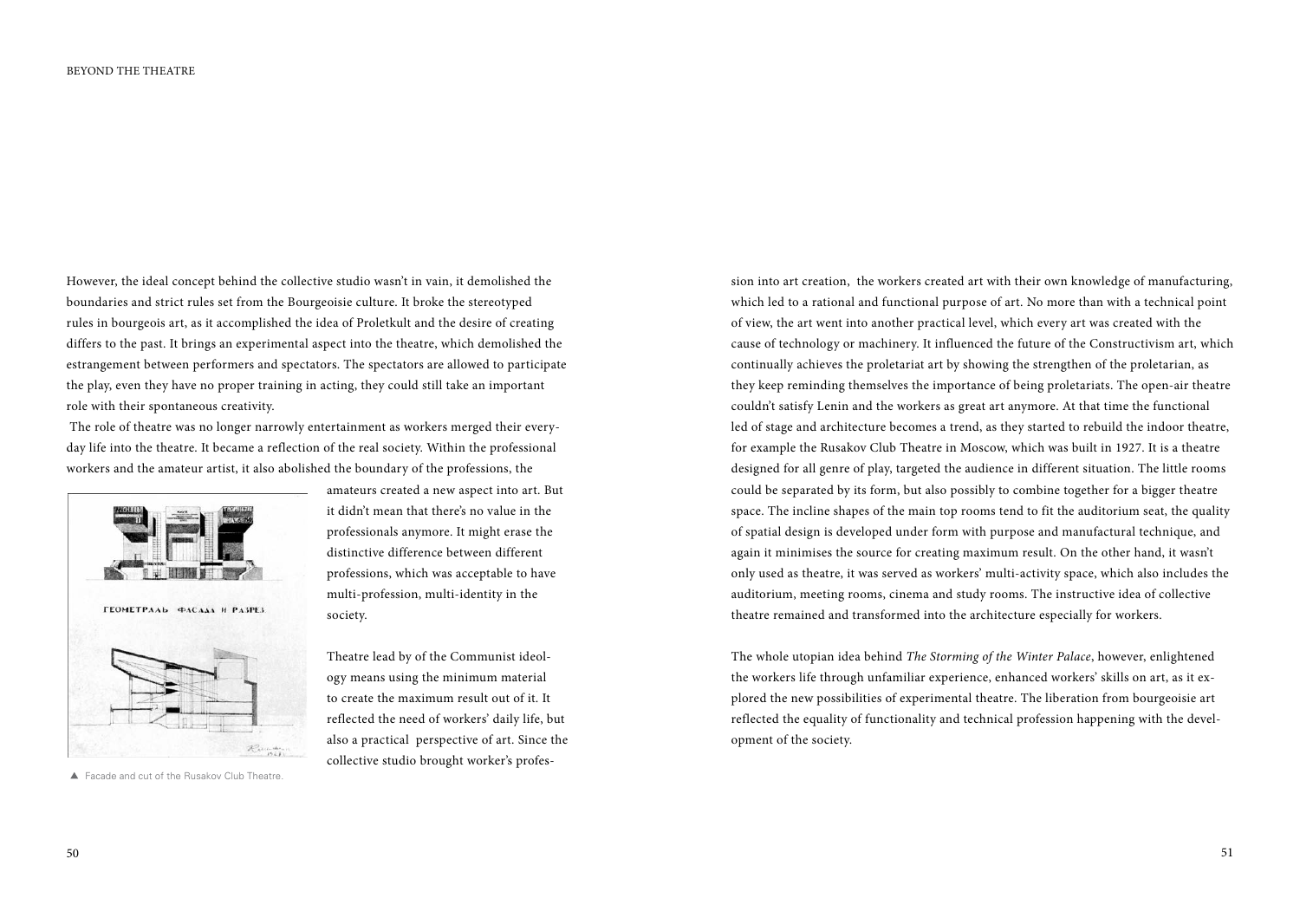However, the ideal concept behind the collective studio wasn't in vain, it demolished the boundaries and strict rules set from the Bourgeoisie culture. It broke the stereotyped rules in bourgeois art, as it accomplished the idea of Proletkult and the desire of creating differs to the past. It brings an experimental aspect into the theatre, which demolished the estrangement between performers and spectators. The spectators are allowed to participate the play, even they have no proper training in acting, they could still take an important role with their spontaneous creativity.

 The role of theatre was no longer narrowly entertainment as workers merged their everyday life into the theatre. It became a reflection of the real society. Within the professional workers and the amateur artist, it also abolished the boundary of the professions, the



▲ Facade and cut of the Rusakov Club Theatre.

amateurs created a new aspect into art. But it didn't mean that there's no value in the professionals anymore. It might erase the distinctive difference between different professions, which was acceptable to have multi-profession, multi-identity in the society.

Theatre lead by of the Communist ideology means using the minimum material to create the maximum result out of it. It reflected the need of workers' daily life, but also a practical perspective of art. Since the collective studio brought worker's profes-

cause of technology or machinery. It influenced the future of the Constructivism art, which continually achieves the proletariat art by showing the strengthen of the proletarian, as they keep reminding themselves the importance of being proletariats. The open-air theatre couldn't satisfy Lenin and the workers as great art anymore. At that time the functional led of stage and architecture becomes a trend, as they started to rebuild the indoor theatre, for example the Rusakov Club Theatre in Moscow, which was built in 1927. It is a theatre designed for all genre of play, targeted the audience in different situation. The little rooms could be separated by its form, but also possibly to combine together for a bigger theatre space. The incline shapes of the main top rooms tend to fit the auditorium seat, the quality of spatial design is developed under form with purpose and manufactural technique, and again it minimises the source for creating maximum result. On the other hand, it wasn't only used as theatre, it was served as workers' multi-activity space, which also includes the auditorium, meeting rooms, cinema and study rooms. The instructive idea of collective theatre remained and transformed into the architecture especially for workers. The whole utopian idea behind *The Storming of the Winter Palace*, however, enlightened

sion into art creation, the workers created art with their own knowledge of manufacturing, which led to a rational and functional purpose of art. No more than with a technical point of view, the art went into another practical level, which every art was created with the

the workers life through unfamiliar experience, enhanced workers' skills on art, as it explored the new possibilities of experimental theatre. The liberation from bourgeoisie art reflected the equality of functionality and technical profession happening with the development of the society.